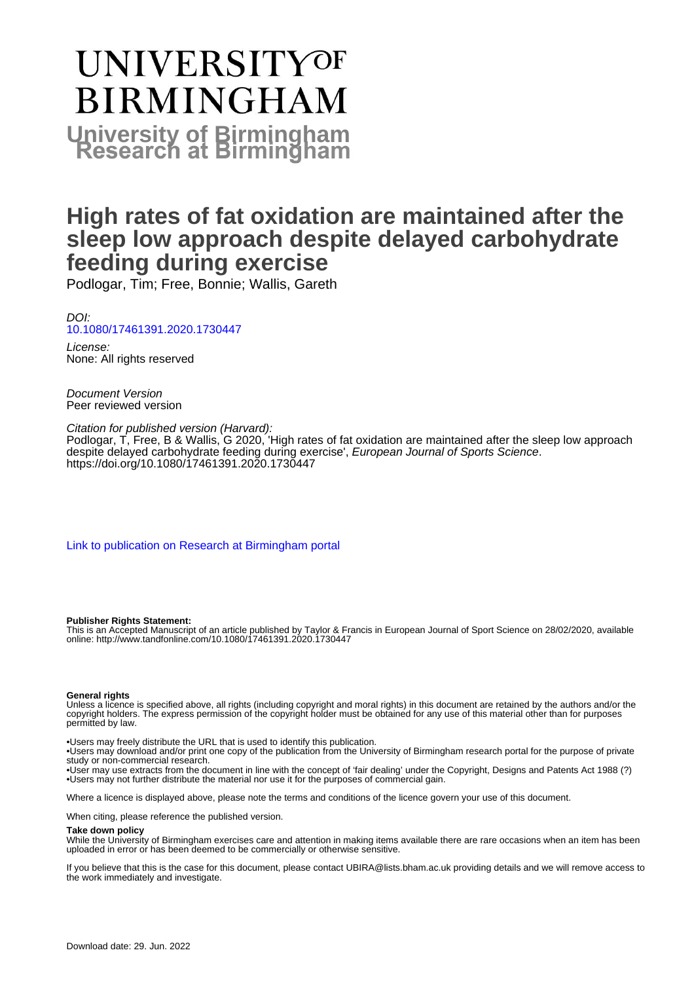# UNIVERSITYOF **BIRMINGHAM University of Birmingham**

## **High rates of fat oxidation are maintained after the sleep low approach despite delayed carbohydrate feeding during exercise**

Podlogar, Tim; Free, Bonnie; Wallis, Gareth

DOI: [10.1080/17461391.2020.1730447](https://doi.org/10.1080/17461391.2020.1730447)

License: None: All rights reserved

Document Version Peer reviewed version

Citation for published version (Harvard): Podlogar, T, Free, B & Wallis, G 2020, 'High rates of fat oxidation are maintained after the sleep low approach despite delayed carbohydrate feeding during exercise', European Journal of Sports Science. <https://doi.org/10.1080/17461391.2020.1730447>

[Link to publication on Research at Birmingham portal](https://birmingham.elsevierpure.com/en/publications/8bd424ab-84dc-4fea-8082-0ab16f20b587)

#### **Publisher Rights Statement:**

This is an Accepted Manuscript of an article published by Taylor & Francis in European Journal of Sport Science on 28/02/2020, available online: http://www.tandfonline.com/10.1080/17461391.2020.1730447

#### **General rights**

Unless a licence is specified above, all rights (including copyright and moral rights) in this document are retained by the authors and/or the copyright holders. The express permission of the copyright holder must be obtained for any use of this material other than for purposes permitted by law.

• Users may freely distribute the URL that is used to identify this publication.

• Users may download and/or print one copy of the publication from the University of Birmingham research portal for the purpose of private study or non-commercial research.

• User may use extracts from the document in line with the concept of 'fair dealing' under the Copyright, Designs and Patents Act 1988 (?) • Users may not further distribute the material nor use it for the purposes of commercial gain.

Where a licence is displayed above, please note the terms and conditions of the licence govern your use of this document.

When citing, please reference the published version.

#### **Take down policy**

While the University of Birmingham exercises care and attention in making items available there are rare occasions when an item has been uploaded in error or has been deemed to be commercially or otherwise sensitive.

If you believe that this is the case for this document, please contact UBIRA@lists.bham.ac.uk providing details and we will remove access to the work immediately and investigate.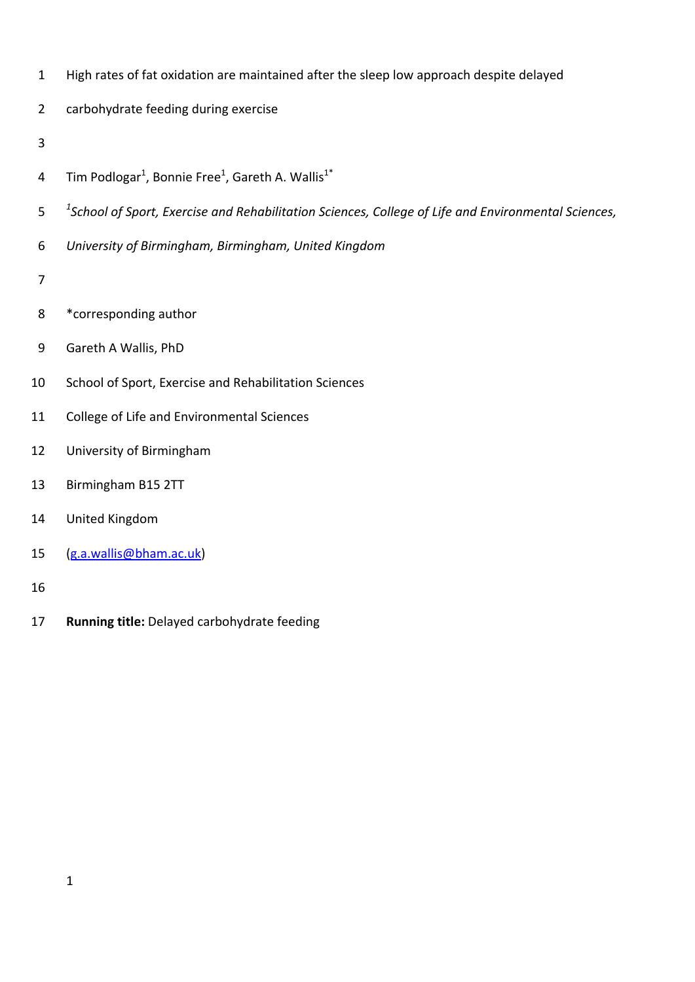- High rates of fat oxidation are maintained after the sleep low approach despite delayed
- carbohydrate feeding during exercise
- 
- 4 Tim Podlogar<sup>1</sup>, Bonnie Free<sup>1</sup>, Gareth A. Wallis<sup>1\*</sup>
- *<sup>1</sup> School of Sport, Exercise and Rehabilitation Sciences, College of Life and Environmental Sciences,*
- *University of Birmingham, Birmingham, United Kingdom*
- 
- \*corresponding author
- Gareth A Wallis, PhD
- School of Sport, Exercise and Rehabilitation Sciences
- College of Life and Environmental Sciences
- University of Birmingham
- Birmingham B15 2TT
- United Kingdom
- (g.a.wallis@bham.ac.uk)
- 
- **Running title:** Delayed carbohydrate feeding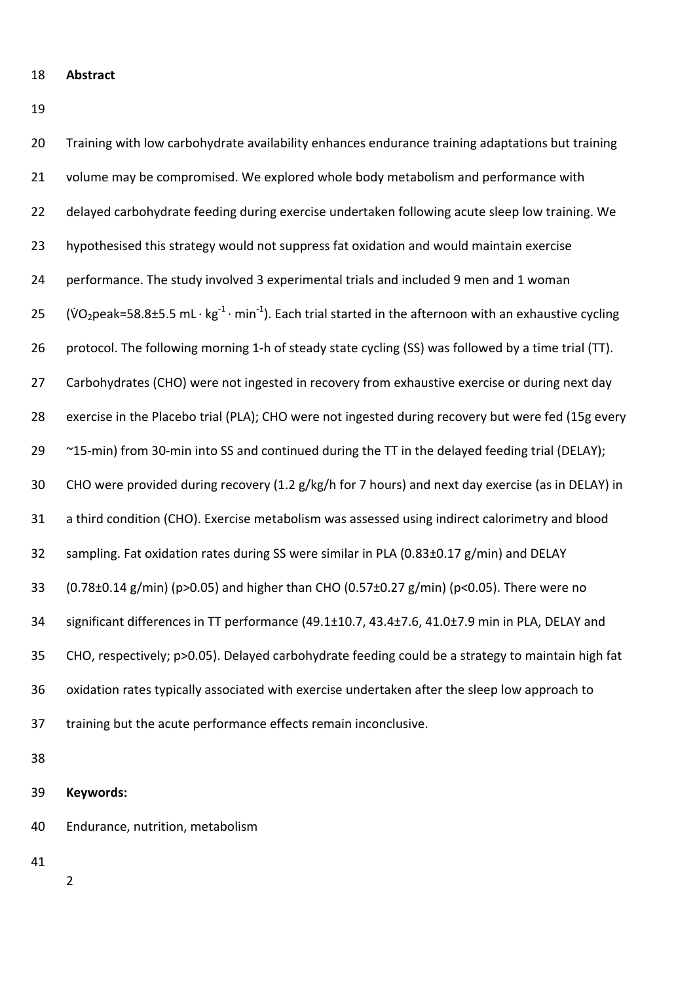- **Abstract**
- 

| 20 | Training with low carbohydrate availability enhances endurance training adaptations but training                                        |
|----|-----------------------------------------------------------------------------------------------------------------------------------------|
| 21 | volume may be compromised. We explored whole body metabolism and performance with                                                       |
| 22 | delayed carbohydrate feeding during exercise undertaken following acute sleep low training. We                                          |
| 23 | hypothesised this strategy would not suppress fat oxidation and would maintain exercise                                                 |
| 24 | performance. The study involved 3 experimental trials and included 9 men and 1 woman                                                    |
| 25 | (VO <sub>2</sub> peak=58.8±5.5 mL·kg <sup>-1</sup> ·min <sup>-1</sup> ). Each trial started in the afternoon with an exhaustive cycling |
| 26 | protocol. The following morning 1-h of steady state cycling (SS) was followed by a time trial (TT).                                     |
| 27 | Carbohydrates (CHO) were not ingested in recovery from exhaustive exercise or during next day                                           |
| 28 | exercise in the Placebo trial (PLA); CHO were not ingested during recovery but were fed (15g every                                      |
| 29 | ~15-min) from 30-min into SS and continued during the TT in the delayed feeding trial (DELAY);                                          |
| 30 | CHO were provided during recovery (1.2 g/kg/h for 7 hours) and next day exercise (as in DELAY) in                                       |
| 31 | a third condition (CHO). Exercise metabolism was assessed using indirect calorimetry and blood                                          |
| 32 | sampling. Fat oxidation rates during SS were similar in PLA (0.83±0.17 g/min) and DELAY                                                 |
| 33 | $(0.78\pm0.14 \text{ g/min})$ (p>0.05) and higher than CHO (0.57 $\pm$ 0.27 g/min) (p<0.05). There were no                              |
| 34 | significant differences in TT performance (49.1±10.7, 43.4±7.6, 41.0±7.9 min in PLA, DELAY and                                          |
| 35 | CHO, respectively; p>0.05). Delayed carbohydrate feeding could be a strategy to maintain high fat                                       |
| 36 | oxidation rates typically associated with exercise undertaken after the sleep low approach to                                           |
| 37 | training but the acute performance effects remain inconclusive.                                                                         |
| 2Q |                                                                                                                                         |

### **Keywords:**

Endurance, nutrition, metabolism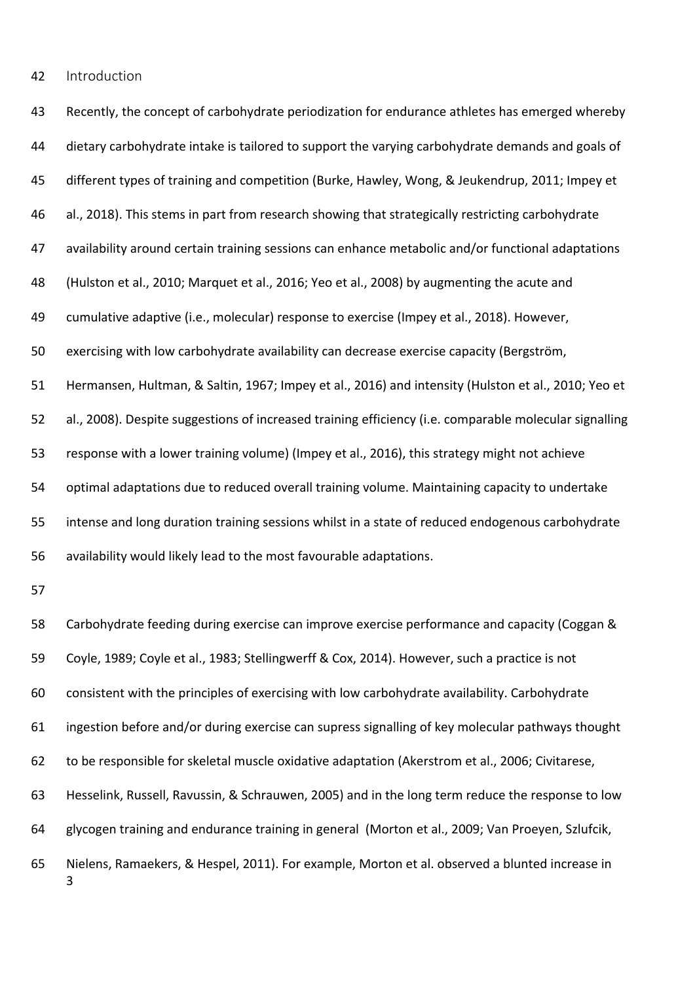Introduction

 Recently, the concept of carbohydrate periodization for endurance athletes has emerged whereby 44 dietary carbohydrate intake is tailored to support the varying carbohydrate demands and goals of different types of training and competition (Burke, Hawley, Wong, & Jeukendrup, 2011; Impey et al., 2018). This stems in part from research showing that strategically restricting carbohydrate availability around certain training sessions can enhance metabolic and/or functional adaptations (Hulston et al., 2010; Marquet et al., 2016; Yeo et al., 2008) by augmenting the acute and cumulative adaptive (i.e., molecular) response to exercise (Impey et al., 2018). However, exercising with low carbohydrate availability can decrease exercise capacity (Bergström, Hermansen, Hultman, & Saltin, 1967; Impey et al., 2016) and intensity (Hulston et al., 2010; Yeo et al., 2008). Despite suggestions of increased training efficiency (i.e. comparable molecular signalling response with a lower training volume) (Impey et al., 2016), this strategy might not achieve optimal adaptations due to reduced overall training volume. Maintaining capacity to undertake intense and long duration training sessions whilst in a state of reduced endogenous carbohydrate availability would likely lead to the most favourable adaptations. Carbohydrate feeding during exercise can improve exercise performance and capacity (Coggan & Coyle, 1989; Coyle et al., 1983; Stellingwerff & Cox, 2014). However, such a practice is not consistent with the principles of exercising with low carbohydrate availability. Carbohydrate ingestion before and/or during exercise can supress signalling of key molecular pathways thought to be responsible for skeletal muscle oxidative adaptation (Akerstrom et al., 2006; Civitarese, Hesselink, Russell, Ravussin, & Schrauwen, 2005) and in the long term reduce the response to low glycogen training and endurance training in general (Morton et al., 2009; Van Proeyen, Szlufcik, Nielens, Ramaekers, & Hespel, 2011). For example, Morton et al. observed a blunted increase in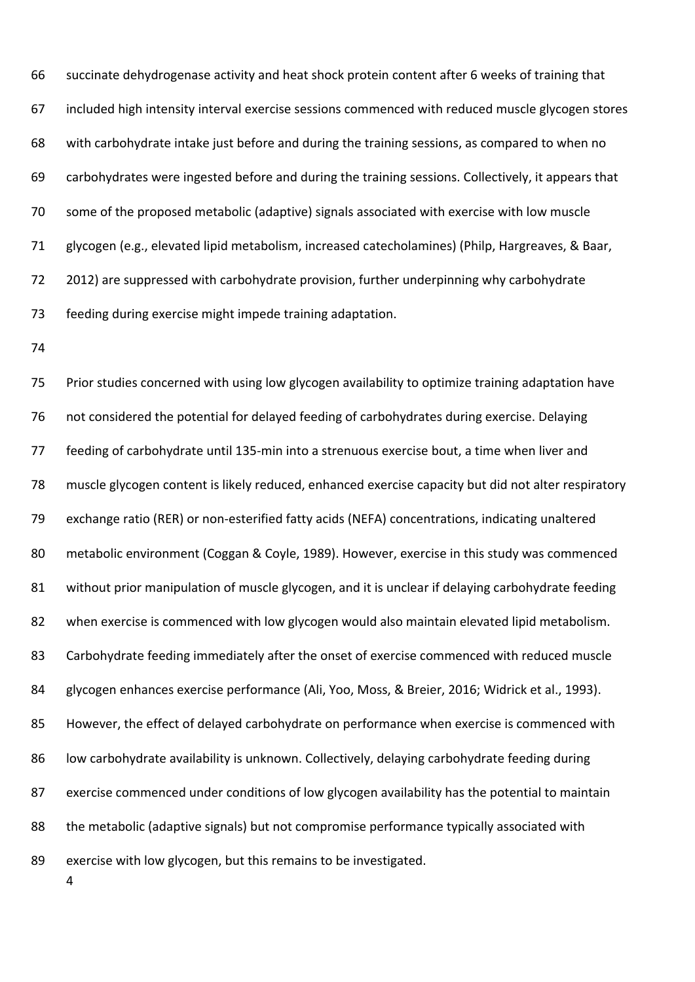succinate dehydrogenase activity and heat shock protein content after 6 weeks of training that included high intensity interval exercise sessions commenced with reduced muscle glycogen stores with carbohydrate intake just before and during the training sessions, as compared to when no carbohydrates were ingested before and during the training sessions. Collectively, it appears that some of the proposed metabolic (adaptive) signals associated with exercise with low muscle glycogen (e.g., elevated lipid metabolism, increased catecholamines) (Philp, Hargreaves, & Baar, 2012) are suppressed with carbohydrate provision, further underpinning why carbohydrate feeding during exercise might impede training adaptation.

 Prior studies concerned with using low glycogen availability to optimize training adaptation have not considered the potential for delayed feeding of carbohydrates during exercise. Delaying 77 feeding of carbohydrate until 135-min into a strenuous exercise bout, a time when liver and muscle glycogen content is likely reduced, enhanced exercise capacity but did not alter respiratory 79 exchange ratio (RER) or non-esterified fatty acids (NEFA) concentrations, indicating unaltered metabolic environment (Coggan & Coyle, 1989). However, exercise in this study was commenced without prior manipulation of muscle glycogen, and it is unclear if delaying carbohydrate feeding when exercise is commenced with low glycogen would also maintain elevated lipid metabolism. Carbohydrate feeding immediately after the onset of exercise commenced with reduced muscle glycogen enhances exercise performance (Ali, Yoo, Moss, & Breier, 2016; Widrick et al., 1993). However, the effect of delayed carbohydrate on performance when exercise is commenced with 86 low carbohydrate availability is unknown. Collectively, delaying carbohydrate feeding during exercise commenced under conditions of low glycogen availability has the potential to maintain the metabolic (adaptive signals) but not compromise performance typically associated with 89 exercise with low glycogen, but this remains to be investigated.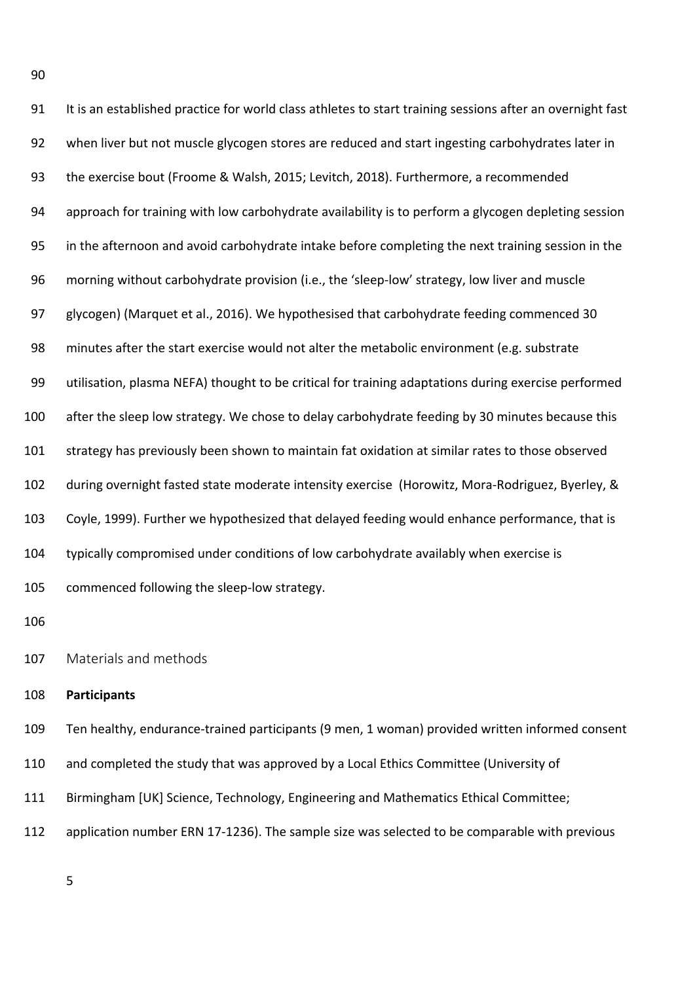It is an established practice for world class athletes to start training sessions after an overnight fast when liver but not muscle glycogen stores are reduced and start ingesting carbohydrates later in the exercise bout (Froome & Walsh, 2015; Levitch, 2018). Furthermore, a recommended approach for training with low carbohydrate availability is to perform a glycogen depleting session in the afternoon and avoid carbohydrate intake before completing the next training session in the 96 morning without carbohydrate provision (i.e., the 'sleep-low' strategy, low liver and muscle glycogen) (Marquet et al., 2016). We hypothesised that carbohydrate feeding commenced 30 minutes after the start exercise would not alter the metabolic environment (e.g. substrate utilisation, plasma NEFA) thought to be critical for training adaptations during exercise performed after the sleep low strategy. We chose to delay carbohydrate feeding by 30 minutes because this strategy has previously been shown to maintain fat oxidation at similar rates to those observed 102 during overnight fasted state moderate intensity exercise (Horowitz, Mora-Rodriguez, Byerley, & Coyle, 1999). Further we hypothesized that delayed feeding would enhance performance, that is typically compromised under conditions of low carbohydrate availably when exercise is 105 commenced following the sleep-low strategy.

Materials and methods

#### **Participants**

Ten healthy, endurance‐trained participants (9 men, 1 woman) provided written informed consent

and completed the study that was approved by a Local Ethics Committee (University of

Birmingham [UK] Science, Technology, Engineering and Mathematics Ethical Committee;

112 application number ERN 17-1236). The sample size was selected to be comparable with previous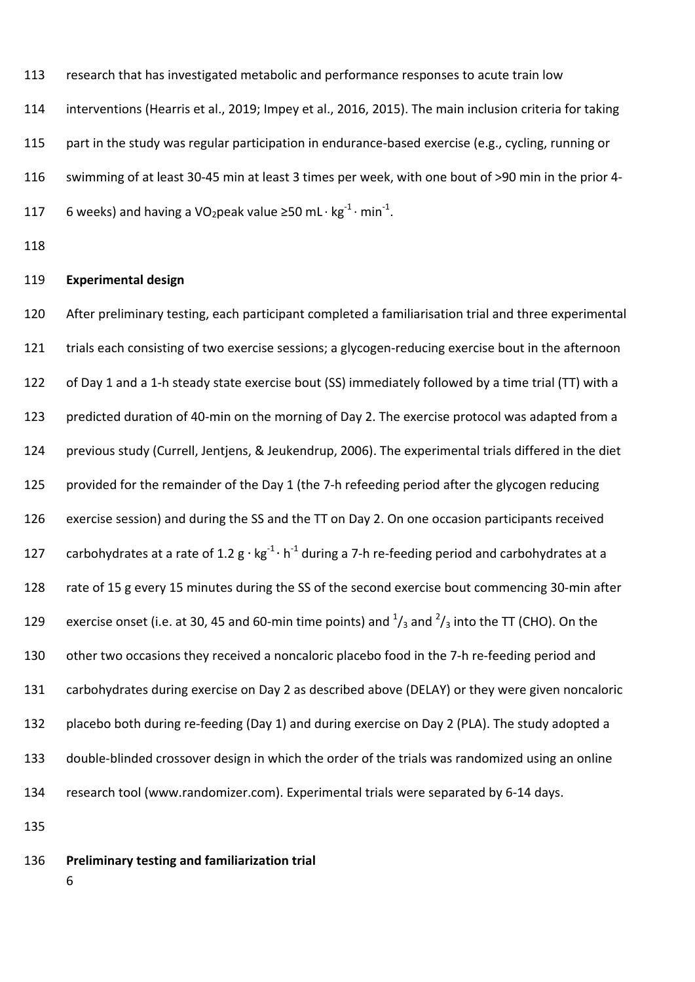113 research that has investigated metabolic and performance responses to acute train low

114 interventions (Hearris et al., 2019; Impey et al., 2016, 2015). The main inclusion criteria for taking

115 part in the study was regular participation in endurance-based exercise (e.g., cycling, running or

116 swimming of at least 30‐45 min at least 3 times per week, with one bout of >90 min in the prior 4‐

- 117 6 weeks) and having a VO<sub>2</sub>peak value ≥50 mL ⋅ kg<sup>-1</sup> ⋅ min<sup>-1</sup>.
- 118

#### 119 **Experimental design**

120 After preliminary testing, each participant completed a familiarisation trial and three experimental 121 trials each consisting of two exercise sessions; a glycogen-reducing exercise bout in the afternoon 122 of Day 1 and a 1-h steady state exercise bout (SS) immediately followed by a time trial (TT) with a 123 predicted duration of 40-min on the morning of Day 2. The exercise protocol was adapted from a 124 previous study (Currell, Jentjens, & Jeukendrup, 2006). The experimental trials differed in the diet 125 provided for the remainder of the Day 1 (the 7-h refeeding period after the glycogen reducing 126 exercise session) and during the SS and the TT on Day 2. On one occasion participants received 127 carbohydrates at a rate of 1.2  $g \cdot kg^{-1} \cdot h^{-1}$  during a 7-h re-feeding period and carbohydrates at a 128 rate of 15 g every 15 minutes during the SS of the second exercise bout commencing 30-min after 129 exercise onset (i.e. at 30, 45 and 60-min time points) and  $\frac{1}{3}$  and  $\frac{2}{3}$  into the TT (CHO). On the 130 other two occasions they received a noncaloric placebo food in the 7-h re-feeding period and 131 carbohydrates during exercise on Day 2 as described above (DELAY) or they were given noncaloric 132 placebo both during re-feeding (Day 1) and during exercise on Day 2 (PLA). The study adopted a 133 double-blinded crossover design in which the order of the trials was randomized using an online 134 research tool (www.randomizer.com). Experimental trials were separated by 6‐14 days.

- 135
- 136 **Preliminary testing and familiarization trial** 
	- 6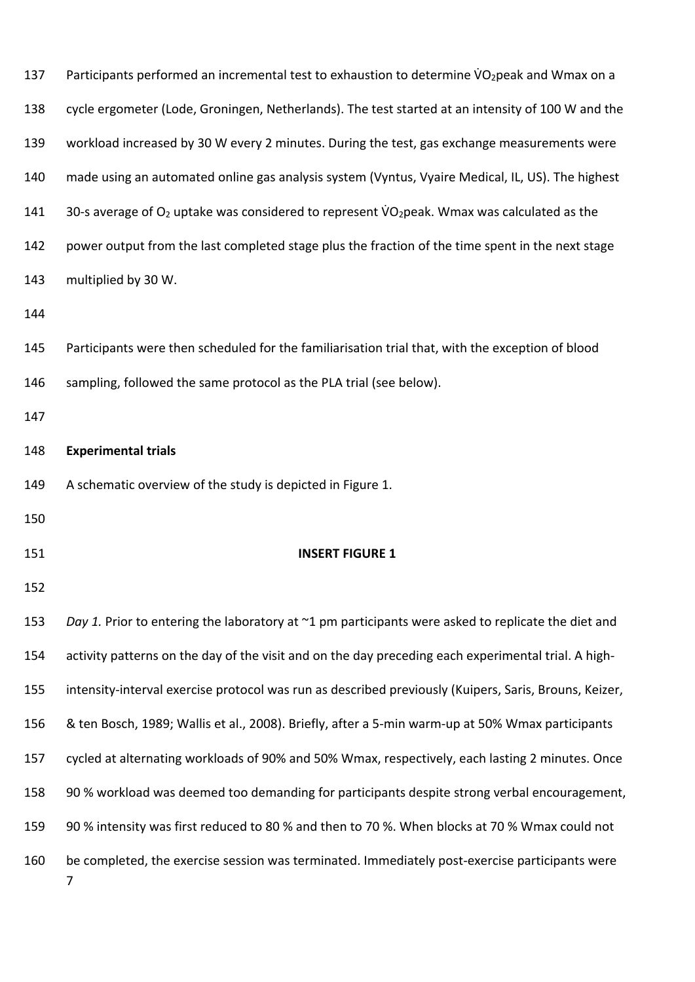| 137 | Participants performed an incremental test to exhaustion to determine VO <sub>2</sub> peak and Wmax on a   |
|-----|------------------------------------------------------------------------------------------------------------|
| 138 | cycle ergometer (Lode, Groningen, Netherlands). The test started at an intensity of 100 W and the          |
| 139 | workload increased by 30 W every 2 minutes. During the test, gas exchange measurements were                |
| 140 | made using an automated online gas analysis system (Vyntus, Vyaire Medical, IL, US). The highest           |
| 141 | 30-s average of $O_2$ uptake was considered to represent VO <sub>2</sub> peak. Wmax was calculated as the  |
| 142 | power output from the last completed stage plus the fraction of the time spent in the next stage           |
| 143 | multiplied by 30 W.                                                                                        |
| 144 |                                                                                                            |
| 145 | Participants were then scheduled for the familiarisation trial that, with the exception of blood           |
| 146 | sampling, followed the same protocol as the PLA trial (see below).                                         |
| 147 |                                                                                                            |
| 148 | <b>Experimental trials</b>                                                                                 |
| 149 | A schematic overview of the study is depicted in Figure 1.                                                 |
| 150 |                                                                                                            |
| 151 | <b>INSERT FIGURE 1</b>                                                                                     |
| 152 |                                                                                                            |
| 153 | Day 1. Prior to entering the laboratory at $\gamma$ 1 pm participants were asked to replicate the diet and |
| 154 | activity patterns on the day of the visit and on the day preceding each experimental trial. A high-        |
| 155 | intensity-interval exercise protocol was run as described previously (Kuipers, Saris, Brouns, Keizer,      |
| 156 | & ten Bosch, 1989; Wallis et al., 2008). Briefly, after a 5-min warm-up at 50% Wmax participants           |
| 157 | cycled at alternating workloads of 90% and 50% Wmax, respectively, each lasting 2 minutes. Once            |
| 158 | 90 % workload was deemed too demanding for participants despite strong verbal encouragement,               |
| 159 | 90 % intensity was first reduced to 80 % and then to 70 %. When blocks at 70 % Wmax could not              |
| 160 | be completed, the exercise session was terminated. Immediately post-exercise participants were<br>7        |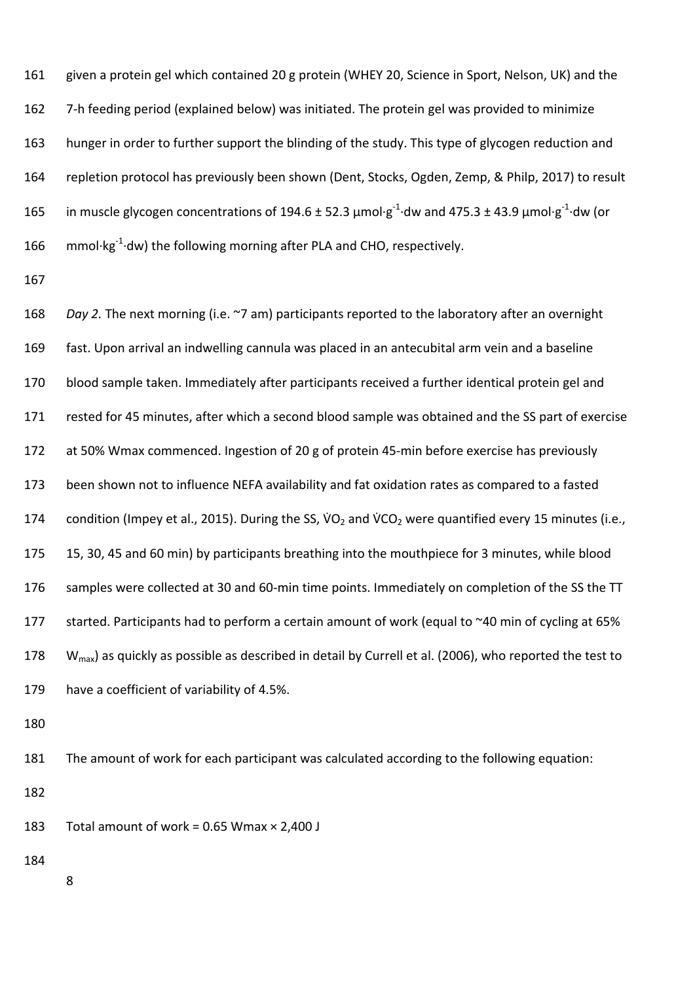given a protein gel which contained 20 g protein (WHEY 20, Science in Sport, Nelson, UK) and the 162 7-h feeding period (explained below) was initiated. The protein gel was provided to minimize hunger in order to further support the blinding of the study. This type of glycogen reduction and repletion protocol has previously been shown (Dent, Stocks, Ogden, Zemp, & Philp, 2017) to result 165 in muscle glycogen concentrations of 194.6 ± 52.3 μmol⋅g<sup>-1</sup>⋅dw and 475.3 ± 43.9 μmol⋅g<sup>-1</sup>⋅dw (or 166 mmol⋅kg<sup>-1</sup>⋅dw) the following morning after PLA and CHO, respectively.

 *Day 2.* The next morning (i.e. ~7 am) participants reported to the laboratory after an overnight fast. Upon arrival an indwelling cannula was placed in an antecubital arm vein and a baseline blood sample taken. Immediately after participants received a further identical protein gel and rested for 45 minutes, after which a second blood sample was obtained and the SS part of exercise 172 at 50% Wmax commenced. Ingestion of 20 g of protein 45-min before exercise has previously been shown not to influence NEFA availability and fat oxidation rates as compared to a fasted 174 condition (Impey et al., 2015). During the SS,  $VO<sub>2</sub>$  and  $VCO<sub>2</sub>$  were quantified every 15 minutes (i.e., 15, 30, 45 and 60 min) by participants breathing into the mouthpiece for 3 minutes, while blood 176 samples were collected at 30 and 60-min time points. Immediately on completion of the SS the TT 177 started. Participants had to perform a certain amount of work (equal to ~40 min of cycling at 65%  $W_{\text{max}}$ ) as quickly as possible as described in detail by Currell et al. (2006), who reported the test to have a coefficient of variability of 4.5%.

The amount of work for each participant was calculated according to the following equation:

183 Total amount of work =  $0.65$  Wmax  $\times$  2,400 J

- 
-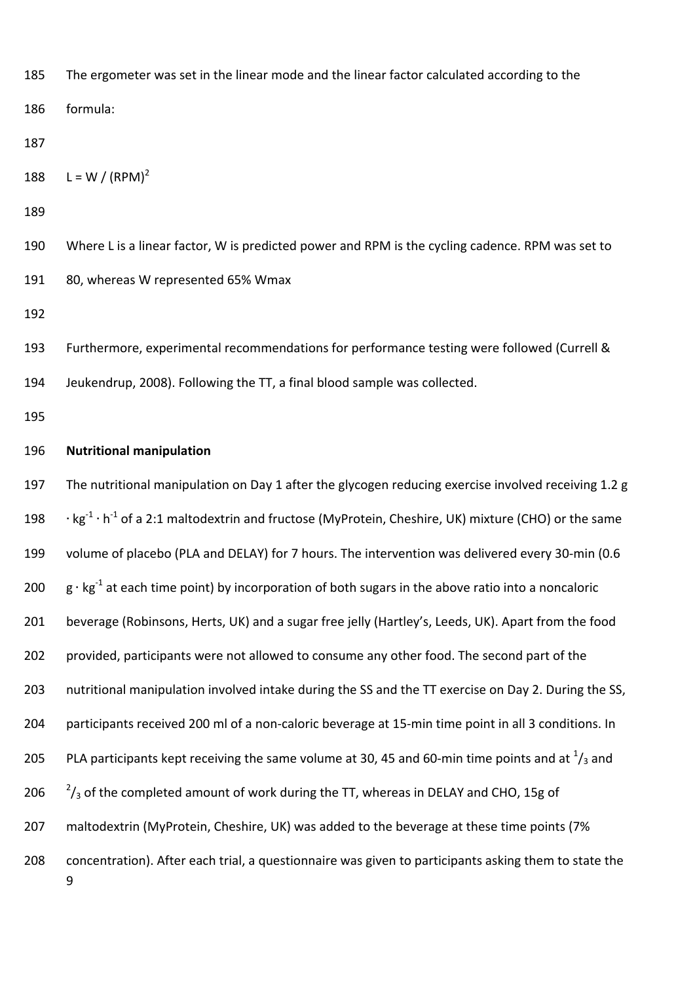| 185 | The ergometer was set in the linear mode and the linear factor calculated according to the                                              |
|-----|-----------------------------------------------------------------------------------------------------------------------------------------|
| 186 | formula:                                                                                                                                |
| 187 |                                                                                                                                         |
| 188 | L = W / $(RPM)^2$                                                                                                                       |
| 189 |                                                                                                                                         |
| 190 | Where L is a linear factor, W is predicted power and RPM is the cycling cadence. RPM was set to                                         |
| 191 | 80, whereas W represented 65% Wmax                                                                                                      |
| 192 |                                                                                                                                         |
| 193 | Furthermore, experimental recommendations for performance testing were followed (Currell &                                              |
| 194 | Jeukendrup, 2008). Following the TT, a final blood sample was collected.                                                                |
| 195 |                                                                                                                                         |
| 196 | <b>Nutritional manipulation</b>                                                                                                         |
| 197 | The nutritional manipulation on Day 1 after the glycogen reducing exercise involved receiving 1.2 g                                     |
| 198 | $\cdot$ kg <sup>-1</sup> $\cdot$ h <sup>-1</sup> of a 2:1 maltodextrin and fructose (MyProtein, Cheshire, UK) mixture (CHO) or the same |
| 199 | volume of placebo (PLA and DELAY) for 7 hours. The intervention was delivered every 30-min (0.6                                         |
| 200 | $g \cdot kg^{-1}$ at each time point) by incorporation of both sugars in the above ratio into a noncaloric                              |
| 201 | beverage (Robinsons, Herts, UK) and a sugar free jelly (Hartley's, Leeds, UK). Apart from the food                                      |
| 202 | provided, participants were not allowed to consume any other food. The second part of the                                               |
| 203 | nutritional manipulation involved intake during the SS and the TT exercise on Day 2. During the SS,                                     |
| 204 | participants received 200 ml of a non-caloric beverage at 15-min time point in all 3 conditions. In                                     |
| 205 | PLA participants kept receiving the same volume at 30, 45 and 60-min time points and at $\frac{1}{3}$ and                               |
| 206 | $2/3$ of the completed amount of work during the TT, whereas in DELAY and CHO, 15g of                                                   |
| 207 | maltodextrin (MyProtein, Cheshire, UK) was added to the beverage at these time points (7%                                               |
| 208 | concentration). After each trial, a questionnaire was given to participants asking them to state the<br>9                               |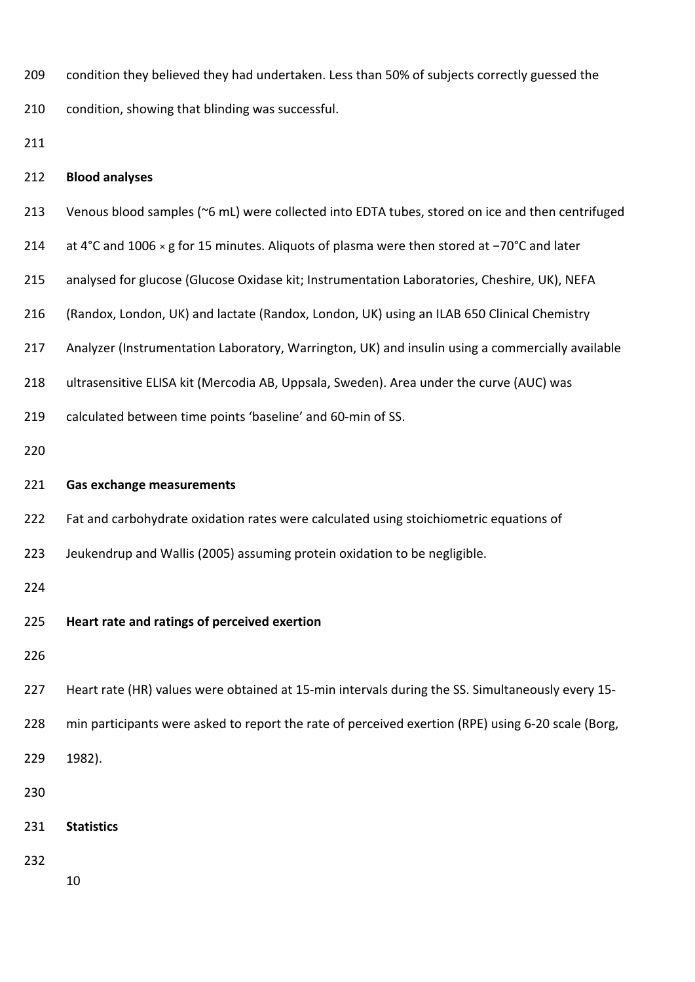| 209 |  |  |  |  |  | condition they believed they had undertaken. Less than 50% of subjects correctly guessed the |
|-----|--|--|--|--|--|----------------------------------------------------------------------------------------------|
|-----|--|--|--|--|--|----------------------------------------------------------------------------------------------|

condition, showing that blinding was successful.

#### **Blood analyses**

- Venous blood samples (~6 mL) were collected into EDTA tubes, stored on ice and then centrifuged
- at 4°C and 1006 × g for 15 minutes. Aliquots of plasma were then stored at −70°C and later
- analysed for glucose (Glucose Oxidase kit; Instrumentation Laboratories, Cheshire, UK), NEFA
- (Randox, London, UK) and lactate (Randox, London, UK) using an ILAB 650 Clinical Chemistry
- Analyzer (Instrumentation Laboratory, Warrington, UK) and insulin using a commercially available
- ultrasensitive ELISA kit (Mercodia AB, Uppsala, Sweden). Area under the curve (AUC) was
- 219 calculated between time points 'baseline' and 60-min of SS.
- 

#### **Gas exchange measurements**

- Fat and carbohydrate oxidation rates were calculated using stoichiometric equations of
- Jeukendrup and Wallis (2005) assuming protein oxidation to be negligible.

**Heart rate and ratings of perceived exertion** 

- 227 Heart rate (HR) values were obtained at 15-min intervals during the SS. Simultaneously every 15-
- 228 min participants were asked to report the rate of perceived exertion (RPE) using 6-20 scale (Borg,

1982).

- 
- **Statistics**
- 
-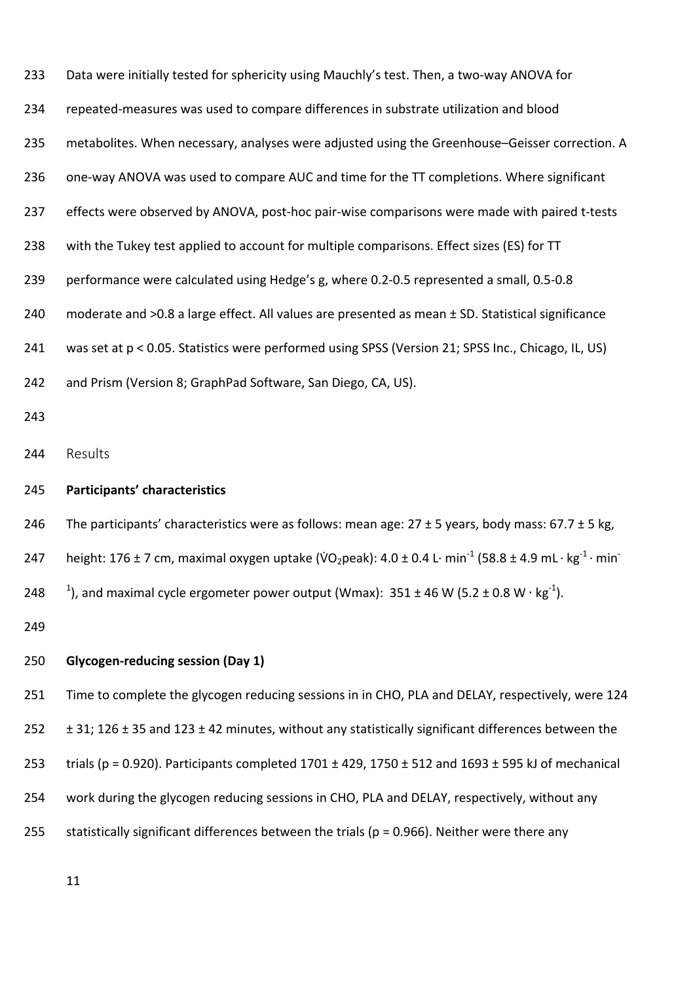| 233 | Data were initially tested for sphericity using Mauchly's test. Then, a two-way ANOVA for                                                            |  |  |
|-----|------------------------------------------------------------------------------------------------------------------------------------------------------|--|--|
| 234 | repeated-measures was used to compare differences in substrate utilization and blood                                                                 |  |  |
| 235 | metabolites. When necessary, analyses were adjusted using the Greenhouse-Geisser correction. A                                                       |  |  |
| 236 | one-way ANOVA was used to compare AUC and time for the TT completions. Where significant                                                             |  |  |
| 237 | effects were observed by ANOVA, post-hoc pair-wise comparisons were made with paired t-tests                                                         |  |  |
| 238 | with the Tukey test applied to account for multiple comparisons. Effect sizes (ES) for TT                                                            |  |  |
| 239 | performance were calculated using Hedge's g, where 0.2-0.5 represented a small, 0.5-0.8                                                              |  |  |
| 240 | moderate and >0.8 a large effect. All values are presented as mean ± SD. Statistical significance                                                    |  |  |
| 241 | was set at p < 0.05. Statistics were performed using SPSS (Version 21; SPSS Inc., Chicago, IL, US)                                                   |  |  |
| 242 | and Prism (Version 8; GraphPad Software, San Diego, CA, US).                                                                                         |  |  |
| 243 |                                                                                                                                                      |  |  |
| 244 | Results                                                                                                                                              |  |  |
| 245 | Participants' characteristics                                                                                                                        |  |  |
| 246 | The participants' characteristics were as follows: mean age: $27 \pm 5$ years, body mass: $67.7 \pm 5$ kg,                                           |  |  |
| 247 | height: 176 ± 7 cm, maximal oxygen uptake (VO <sub>2</sub> peak): 4.0 ± 0.4 L· min <sup>-1</sup> (58.8 ± 4.9 mL· kg <sup>-1</sup> · min <sup>-</sup> |  |  |
| 248 | <sup>1</sup> ), and maximal cycle ergometer power output (Wmax): $351 \pm 46$ W (5.2 $\pm$ 0.8 W · kg <sup>-1</sup> ).                               |  |  |
| 249 |                                                                                                                                                      |  |  |
| 250 | <b>Glycogen-reducing session (Day 1)</b>                                                                                                             |  |  |
| 251 | Time to complete the glycogen reducing sessions in in CHO, PLA and DELAY, respectively, were 124                                                     |  |  |
|     |                                                                                                                                                      |  |  |

252  $\pm$  31; 126  $\pm$  35 and 123  $\pm$  42 minutes, without any statistically significant differences between the

253 trials (p = 0.920). Participants completed  $1701 \pm 429$ ,  $1750 \pm 512$  and  $1693 \pm 595$  kJ of mechanical

- 254 work during the glycogen reducing sessions in CHO, PLA and DELAY, respectively, without any
- 255 statistically significant differences between the trials ( $p = 0.966$ ). Neither were there any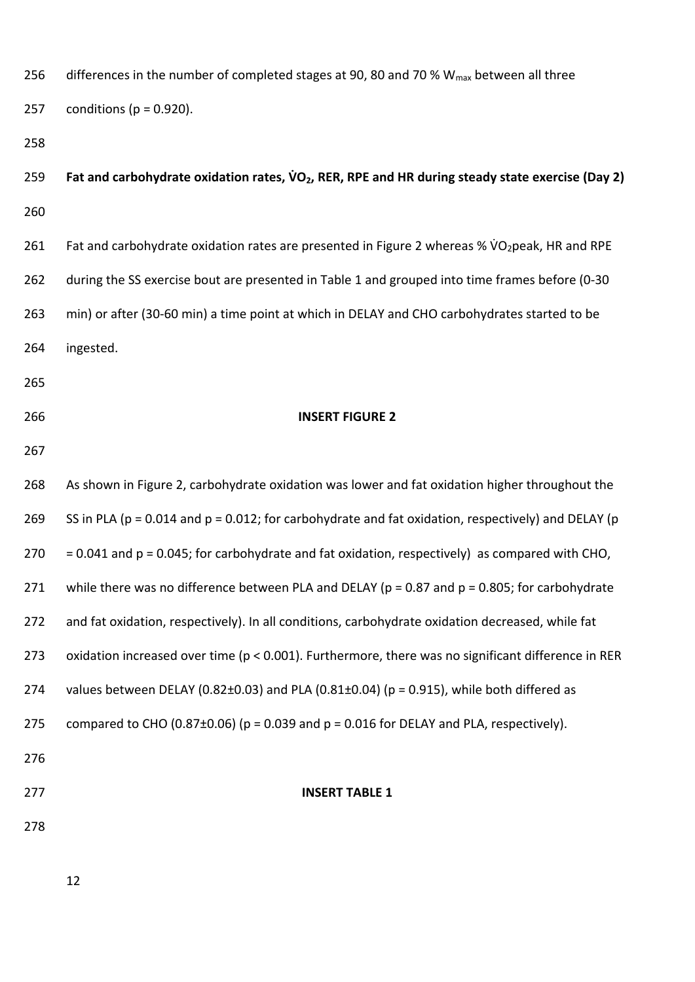| 256 | differences in the number of completed stages at 90, 80 and 70 % $W_{max}$ between all three                |
|-----|-------------------------------------------------------------------------------------------------------------|
| 257 | conditions ( $p = 0.920$ ).                                                                                 |
| 258 |                                                                                                             |
| 259 | Fat and carbohydrate oxidation rates, $\dot{V}O_2$ , RER, RPE and HR during steady state exercise (Day 2)   |
| 260 |                                                                                                             |
| 261 | Fat and carbohydrate oxidation rates are presented in Figure 2 whereas % VO2peak, HR and RPE                |
| 262 | during the SS exercise bout are presented in Table 1 and grouped into time frames before (0-30              |
| 263 | min) or after (30-60 min) a time point at which in DELAY and CHO carbohydrates started to be                |
| 264 | ingested.                                                                                                   |
| 265 |                                                                                                             |
| 266 | <b>INSERT FIGURE 2</b>                                                                                      |
| 267 |                                                                                                             |
| 268 | As shown in Figure 2, carbohydrate oxidation was lower and fat oxidation higher throughout the              |
| 269 | SS in PLA ( $p = 0.014$ and $p = 0.012$ ; for carbohydrate and fat oxidation, respectively) and DELAY ( $p$ |
| 270 | $= 0.041$ and $p = 0.045$ ; for carbohydrate and fat oxidation, respectively) as compared with CHO,         |
| 271 | while there was no difference between PLA and DELAY ( $p = 0.87$ and $p = 0.805$ ; for carbohydrate         |
| 272 | and fat oxidation, respectively). In all conditions, carbohydrate oxidation decreased, while fat            |
| 273 | oxidation increased over time ( $p < 0.001$ ). Furthermore, there was no significant difference in RER      |
| 274 | values between DELAY (0.82 $\pm$ 0.03) and PLA (0.81 $\pm$ 0.04) (p = 0.915), while both differed as        |
| 275 | compared to CHO (0.87 $\pm$ 0.06) (p = 0.039 and p = 0.016 for DELAY and PLA, respectively).                |
| 276 |                                                                                                             |
| 277 | <b>INSERT TABLE 1</b>                                                                                       |
| 278 |                                                                                                             |
|     |                                                                                                             |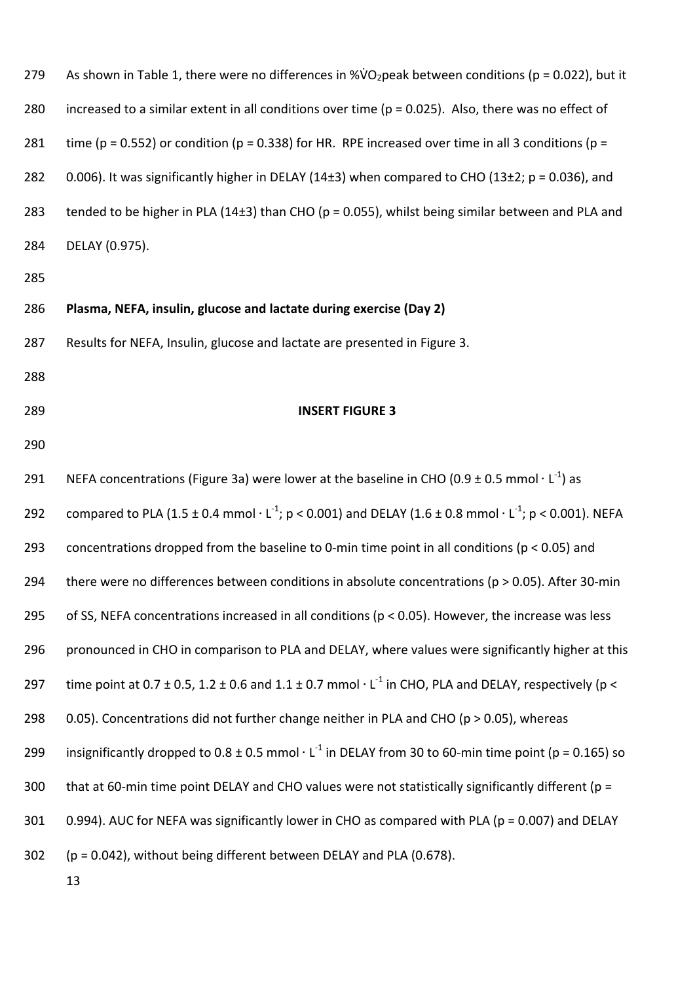| 279 | As shown in Table 1, there were no differences in %VO <sub>2</sub> peak between conditions ( $p = 0.022$ ), but it |
|-----|--------------------------------------------------------------------------------------------------------------------|
| 280 | increased to a similar extent in all conditions over time ( $p = 0.025$ ). Also, there was no effect of            |
| 281 | time ( $p = 0.552$ ) or condition ( $p = 0.338$ ) for HR. RPE increased over time in all 3 conditions ( $p =$      |
| 282 | 0.006). It was significantly higher in DELAY (14 $\pm$ 3) when compared to CHO (13 $\pm$ 2; p = 0.036), and        |
| 283 | tended to be higher in PLA (14 $\pm$ 3) than CHO (p = 0.055), whilst being similar between and PLA and             |
| 284 | DELAY (0.975).                                                                                                     |

#### 286 **Plasma, NEFA, insulin, glucose and lactate during exercise (Day 2)**

287 Results for NEFA, Insulin, glucose and lactate are presented in Figure 3.

- 288
- 

#### 289 **INSERT FIGURE 3**

290

13 291 NEFA concentrations (Figure 3a) were lower at the baseline in CHO (0.9 ± 0.5 mmol  $\cdot$  L<sup>-1</sup>) as 292 compared to PLA (1.5 ± 0.4 mmol  $\cdot$  L<sup>-1</sup>; p < 0.001) and DELAY (1.6 ± 0.8 mmol  $\cdot$  L<sup>-1</sup>; p < 0.001). NEFA 293 concentrations dropped from the baseline to 0‐min time point in all conditions (p < 0.05) and 294 there were no differences between conditions in absolute concentrations (p > 0.05). After 30-min 295 of SS, NEFA concentrations increased in all conditions (p < 0.05). However, the increase was less 296 pronounced in CHO in comparison to PLA and DELAY, where values were significantly higher at this 297 time point at 0.7  $\pm$  0.5, 1.2  $\pm$  0.6 and 1.1  $\pm$  0.7 mmol  $\cdot$  L<sup>-1</sup> in CHO, PLA and DELAY, respectively (p < 298  $0.05$ ). Concentrations did not further change neither in PLA and CHO (p > 0.05), whereas 299 insignificantly dropped to 0.8  $\pm$  0.5 mmol  $\cdot$  L<sup>-1</sup> in DELAY from 30 to 60-min time point (p = 0.165) so 300 that at 60-min time point DELAY and CHO values were not statistically significantly different ( $p =$ 301 0.994). AUC for NEFA was significantly lower in CHO as compared with PLA (p = 0.007) and DELAY 302 (p = 0.042), without being different between DELAY and PLA (0.678).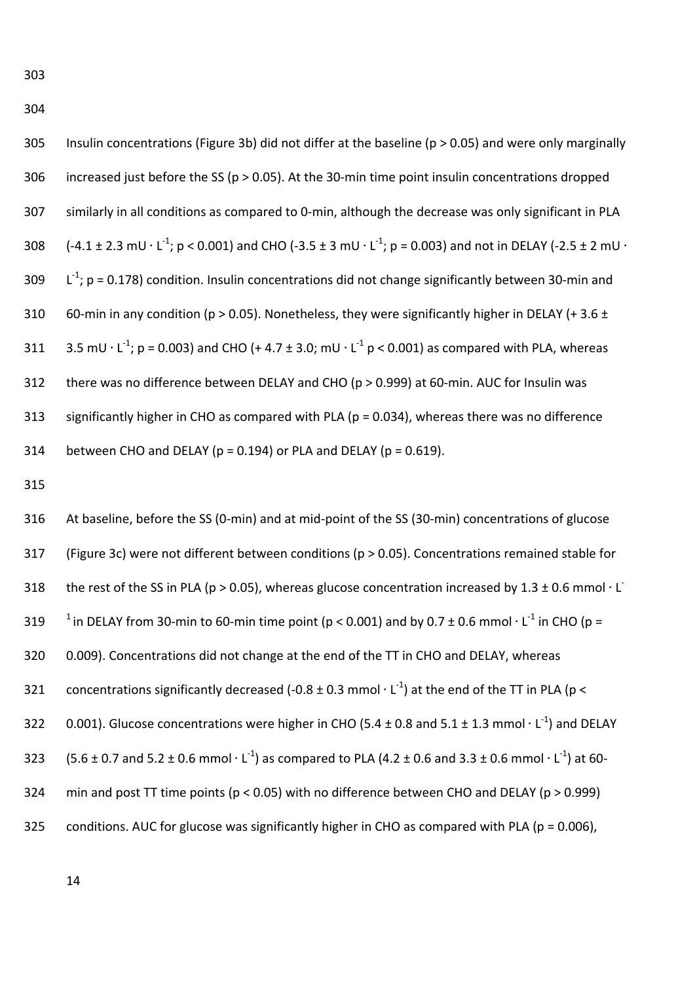304

305 Insulin concentrations (Figure 3b) did not differ at the baseline (p > 0.05) and were only marginally 306 increased just before the SS (p > 0.05). At the 30‐min time point insulin concentrations dropped 307 similarly in all conditions as compared to 0‐min, although the decrease was only significant in PLA 308 (-4.1 ± 2.3 mU ⋅ L<sup>-1</sup>; p < 0.001) and CHO (-3.5 ± 3 mU ⋅ L<sup>-1</sup>; p = 0.003) and not in DELAY (-2.5 ± 2 mU ⋅ 309  $\lfloor L^{-1} \rfloor$ ; p = 0.178) condition. Insulin concentrations did not change significantly between 30-min and 310 60-min in any condition (p > 0.05). Nonetheless, they were significantly higher in DELAY (+ 3.6  $\pm$ 311 3.5 mU ⋅ L<sup>-1</sup>; p = 0.003) and CHO (+ 4.7 ± 3.0; mU ⋅ L<sup>-1</sup> p < 0.001) as compared with PLA, whereas 312 there was no difference between DELAY and CHO (p > 0.999) at 60-min. AUC for Insulin was

313 significantly higher in CHO as compared with PLA (p = 0.034), whereas there was no difference 314 between CHO and DELAY ( $p = 0.194$ ) or PLA and DELAY ( $p = 0.619$ ).

315

316 At baseline, before the SS (0‐min) and at mid‐point of the SS (30‐min) concentrations of glucose 317 (Figure 3c) were not different between conditions (p > 0.05). Concentrations remained stable for 318 the rest of the SS in PLA (p > 0.05), whereas glucose concentration increased by  $1.3 \pm 0.6$  mmol  $\cdot$  L 319 <sup>1</sup> in DELAY from 30-min to 60-min time point (p < 0.001) and by 0.7 ± 0.6 mmol  $\cdot$  L<sup>-1</sup> in CHO (p = 320 0.009). Concentrations did not change at the end of the TT in CHO and DELAY, whereas 321 concentrations significantly decreased (-0.8  $\pm$  0.3 mmol  $\cdot$  L<sup>-1</sup>) at the end of the TT in PLA (p < 322 0.001). Glucose concentrations were higher in CHO (5.4  $\pm$  0.8 and 5.1  $\pm$  1.3 mmol  $\cdot$  L<sup>-1</sup>) and DELAY 323 (5.6 ± 0.7 and 5.2 ± 0.6 mmol  $\cdot$  L<sup>-1</sup>) as compared to PLA (4.2 ± 0.6 and 3.3 ± 0.6 mmol  $\cdot$  L<sup>-1</sup>) at 60-324 min and post TT time points ( $p < 0.05$ ) with no difference between CHO and DELAY ( $p > 0.999$ ) 325 conditions. AUC for glucose was significantly higher in CHO as compared with PLA (p = 0.006),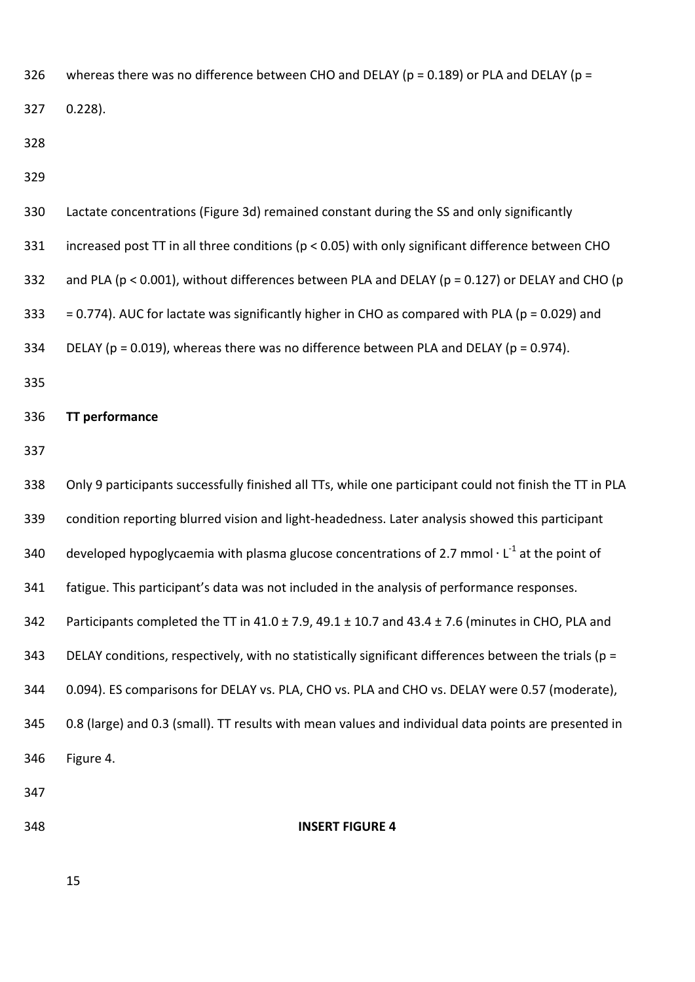326 whereas there was no difference between CHO and DELAY ( $p = 0.189$ ) or PLA and DELAY ( $p = 0.189$ )

0.228).

| 330 | Lactate concentrations (Figure 3d) remained constant during the SS and only significantly                 |
|-----|-----------------------------------------------------------------------------------------------------------|
| 331 | increased post TT in all three conditions ( $p < 0.05$ ) with only significant difference between CHO     |
| 332 | and PLA ( $p < 0.001$ ), without differences between PLA and DELAY ( $p = 0.127$ ) or DELAY and CHO ( $p$ |
| 333 | $= 0.774$ ). AUC for lactate was significantly higher in CHO as compared with PLA ( $p = 0.029$ ) and     |
| 334 | DELAY ( $p = 0.019$ ), whereas there was no difference between PLA and DELAY ( $p = 0.974$ ).             |

#### **TT performance**

 Only 9 participants successfully finished all TTs, while one participant could not finish the TT in PLA 339 condition reporting blurred vision and light-headedness. Later analysis showed this participant 340 developed hypoglycaemia with plasma glucose concentrations of 2.7 mmol  $\cdot$  L<sup>-1</sup> at the point of fatigue. This participant's data was not included in the analysis of performance responses. 342 Participants completed the TT in  $41.0 \pm 7.9$ ,  $49.1 \pm 10.7$  and  $43.4 \pm 7.6$  (minutes in CHO, PLA and 343 DELAY conditions, respectively, with no statistically significant differences between the trials ( $p =$  0.094). ES comparisons for DELAY vs. PLA, CHO vs. PLA and CHO vs. DELAY were 0.57 (moderate), 0.8 (large) and 0.3 (small). TT results with mean values and individual data points are presented in Figure 4. 

#### **INSERT FIGURE 4**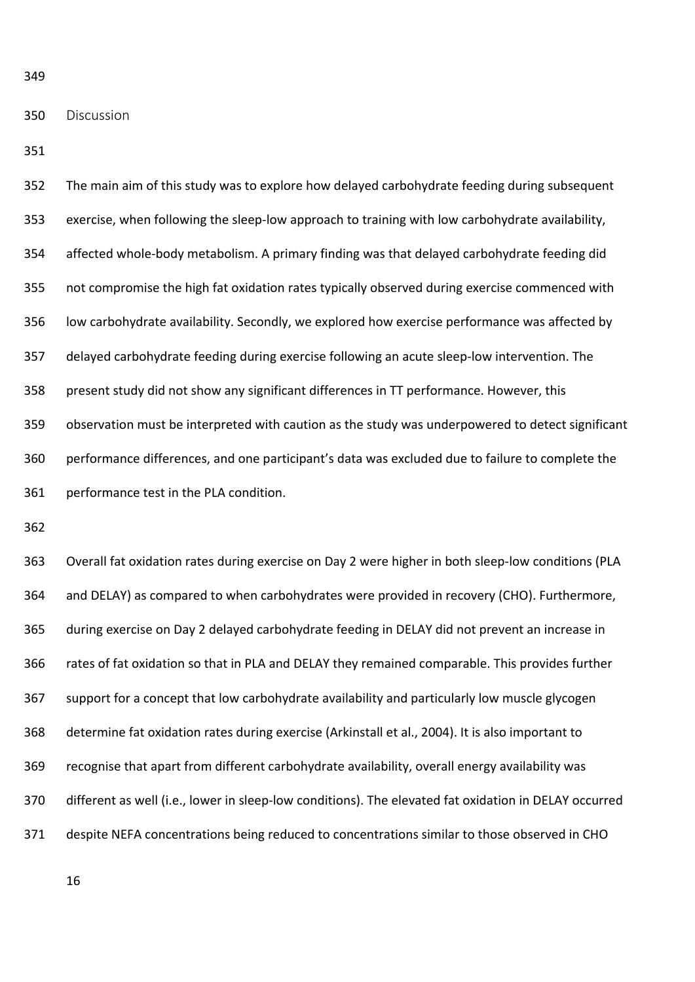#### Discussion

 The main aim of this study was to explore how delayed carbohydrate feeding during subsequent 353 exercise, when following the sleep-low approach to training with low carbohydrate availability, affected whole‐body metabolism. A primary finding was that delayed carbohydrate feeding did not compromise the high fat oxidation rates typically observed during exercise commenced with low carbohydrate availability. Secondly, we explored how exercise performance was affected by 357 delayed carbohydrate feeding during exercise following an acute sleep-low intervention. The present study did not show any significant differences in TT performance. However, this observation must be interpreted with caution as the study was underpowered to detect significant performance differences, and one participant's data was excluded due to failure to complete the performance test in the PLA condition.

363 Overall fat oxidation rates during exercise on Day 2 were higher in both sleep-low conditions (PLA and DELAY) as compared to when carbohydrates were provided in recovery (CHO). Furthermore, during exercise on Day 2 delayed carbohydrate feeding in DELAY did not prevent an increase in rates of fat oxidation so that in PLA and DELAY they remained comparable. This provides further support for a concept that low carbohydrate availability and particularly low muscle glycogen determine fat oxidation rates during exercise (Arkinstall et al., 2004). It is also important to recognise that apart from different carbohydrate availability, overall energy availability was 370 different as well (i.e., lower in sleep-low conditions). The elevated fat oxidation in DELAY occurred despite NEFA concentrations being reduced to concentrations similar to those observed in CHO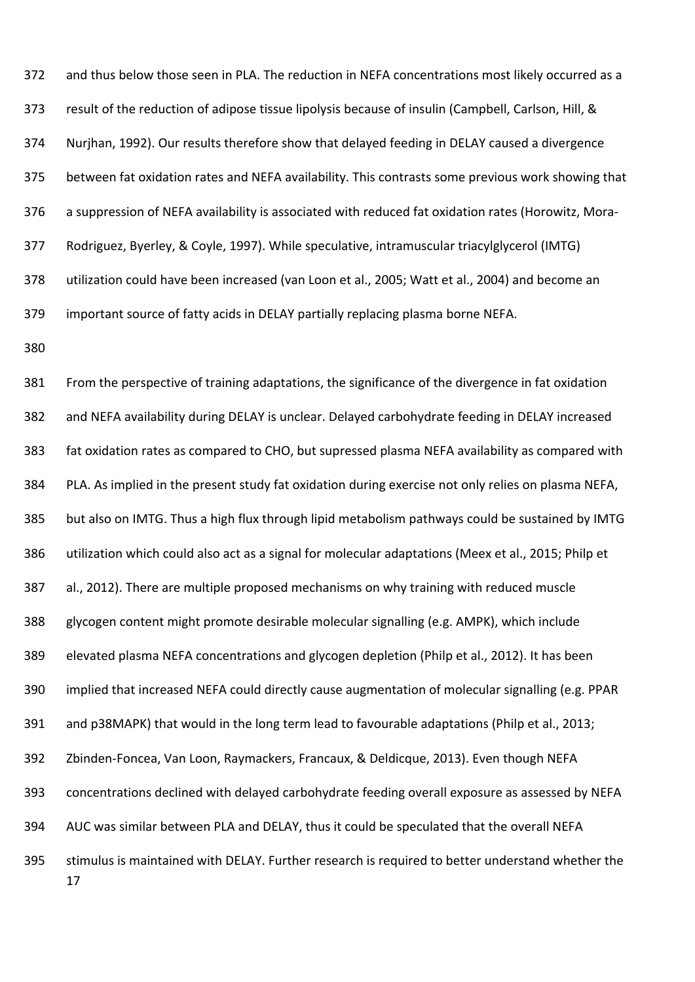and thus below those seen in PLA. The reduction in NEFA concentrations most likely occurred as a result of the reduction of adipose tissue lipolysis because of insulin (Campbell, Carlson, Hill, & Nurjhan, 1992). Our results therefore show that delayed feeding in DELAY caused a divergence between fat oxidation rates and NEFA availability. This contrasts some previous work showing that 376 a suppression of NEFA availability is associated with reduced fat oxidation rates (Horowitz, Mora- Rodriguez, Byerley, & Coyle, 1997). While speculative, intramuscular triacylglycerol (IMTG) utilization could have been increased (van Loon et al., 2005; Watt et al., 2004) and become an important source of fatty acids in DELAY partially replacing plasma borne NEFA.

 From the perspective of training adaptations, the significance of the divergence in fat oxidation and NEFA availability during DELAY is unclear. Delayed carbohydrate feeding in DELAY increased fat oxidation rates as compared to CHO, but supressed plasma NEFA availability as compared with PLA. As implied in the present study fat oxidation during exercise not only relies on plasma NEFA, but also on IMTG. Thus a high flux through lipid metabolism pathways could be sustained by IMTG utilization which could also act as a signal for molecular adaptations (Meex et al., 2015; Philp et al., 2012). There are multiple proposed mechanisms on why training with reduced muscle glycogen content might promote desirable molecular signalling (e.g. AMPK), which include elevated plasma NEFA concentrations and glycogen depletion (Philp et al., 2012). It has been implied that increased NEFA could directly cause augmentation of molecular signalling (e.g. PPAR and p38MAPK) that would in the long term lead to favourable adaptations (Philp et al., 2013; Zbinden‐Foncea, Van Loon, Raymackers, Francaux, & Deldicque, 2013). Even though NEFA concentrations declined with delayed carbohydrate feeding overall exposure as assessed by NEFA AUC was similar between PLA and DELAY, thus it could be speculated that the overall NEFA stimulus is maintained with DELAY. Further research is required to better understand whether the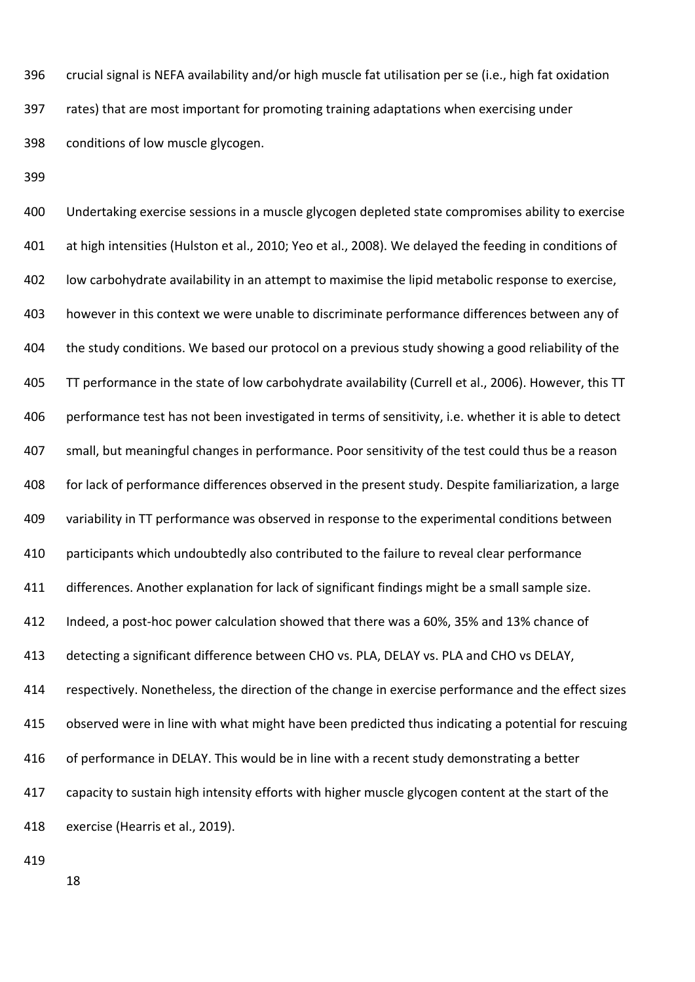crucial signal is NEFA availability and/or high muscle fat utilisation per se (i.e., high fat oxidation rates) that are most important for promoting training adaptations when exercising under conditions of low muscle glycogen.

 Undertaking exercise sessions in a muscle glycogen depleted state compromises ability to exercise at high intensities (Hulston et al., 2010; Yeo et al., 2008). We delayed the feeding in conditions of low carbohydrate availability in an attempt to maximise the lipid metabolic response to exercise, however in this context we were unable to discriminate performance differences between any of the study conditions. We based our protocol on a previous study showing a good reliability of the TT performance in the state of low carbohydrate availability (Currell et al., 2006). However, this TT performance test has not been investigated in terms of sensitivity, i.e. whether it is able to detect small, but meaningful changes in performance. Poor sensitivity of the test could thus be a reason for lack of performance differences observed in the present study. Despite familiarization, a large variability in TT performance was observed in response to the experimental conditions between participants which undoubtedly also contributed to the failure to reveal clear performance differences. Another explanation for lack of significant findings might be a small sample size. 412 Indeed, a post-hoc power calculation showed that there was a 60%, 35% and 13% chance of detecting a significant difference between CHO vs. PLA, DELAY vs. PLA and CHO vs DELAY, respectively. Nonetheless, the direction of the change in exercise performance and the effect sizes observed were in line with what might have been predicted thus indicating a potential for rescuing 416 of performance in DELAY. This would be in line with a recent study demonstrating a better capacity to sustain high intensity efforts with higher muscle glycogen content at the start of the exercise (Hearris et al., 2019).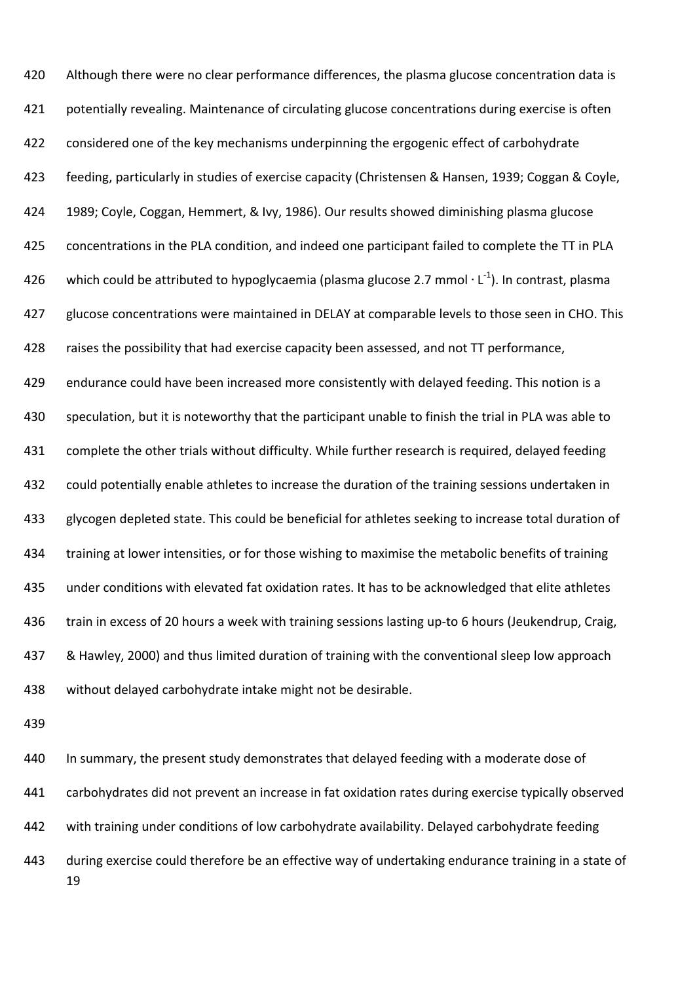420 Although there were no clear performance differences, the plasma glucose concentration data is potentially revealing. Maintenance of circulating glucose concentrations during exercise is often considered one of the key mechanisms underpinning the ergogenic effect of carbohydrate feeding, particularly in studies of exercise capacity (Christensen & Hansen, 1939; Coggan & Coyle, 1989; Coyle, Coggan, Hemmert, & Ivy, 1986). Our results showed diminishing plasma glucose concentrations in the PLA condition, and indeed one participant failed to complete the TT in PLA 426 vhich could be attributed to hypoglycaemia (plasma glucose 2.7 mmol  $\cdot$  L<sup>-1</sup>). In contrast, plasma glucose concentrations were maintained in DELAY at comparable levels to those seen in CHO. This raises the possibility that had exercise capacity been assessed, and not TT performance, 429 endurance could have been increased more consistently with delayed feeding. This notion is a speculation, but it is noteworthy that the participant unable to finish the trial in PLA was able to complete the other trials without difficulty. While further research is required, delayed feeding could potentially enable athletes to increase the duration of the training sessions undertaken in glycogen depleted state. This could be beneficial for athletes seeking to increase total duration of training at lower intensities, or for those wishing to maximise the metabolic benefits of training under conditions with elevated fat oxidation rates. It has to be acknowledged that elite athletes 436 train in excess of 20 hours a week with training sessions lasting up-to 6 hours (Jeukendrup, Craig, & Hawley, 2000) and thus limited duration of training with the conventional sleep low approach without delayed carbohydrate intake might not be desirable.

 440 In summary, the present study demonstrates that delayed feeding with a moderate dose of carbohydrates did not prevent an increase in fat oxidation rates during exercise typically observed with training under conditions of low carbohydrate availability. Delayed carbohydrate feeding during exercise could therefore be an effective way of undertaking endurance training in a state of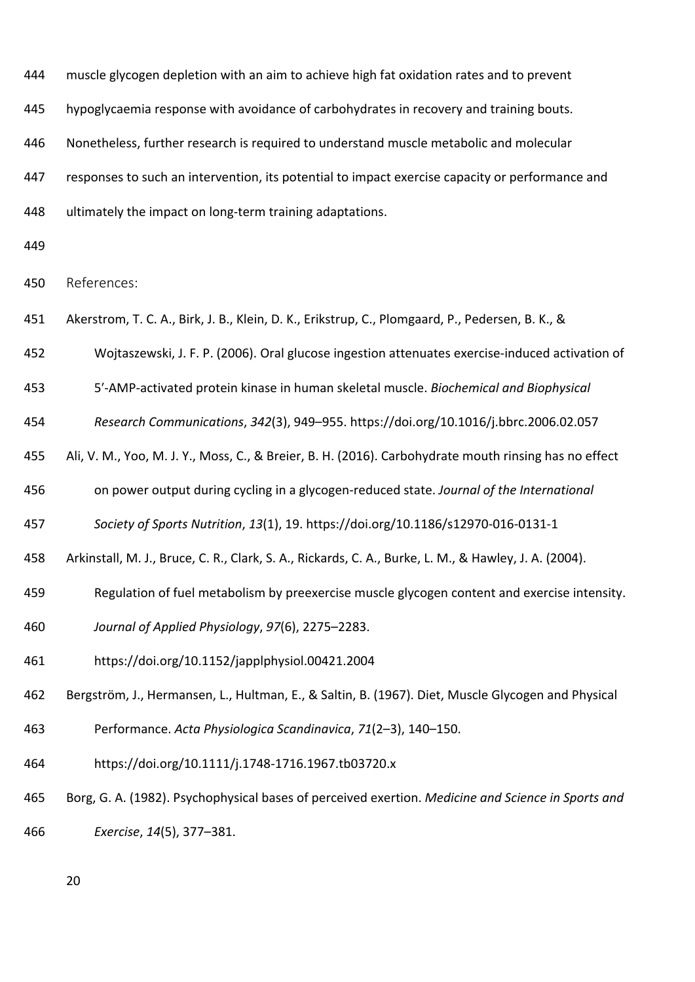muscle glycogen depletion with an aim to achieve high fat oxidation rates and to prevent

hypoglycaemia response with avoidance of carbohydrates in recovery and training bouts.

Nonetheless, further research is required to understand muscle metabolic and molecular

responses to such an intervention, its potential to impact exercise capacity or performance and

**ultimately the impact on long-term training adaptations.** 

References:

Akerstrom, T. C. A., Birk, J. B., Klein, D. K., Erikstrup, C., Plomgaard, P., Pedersen, B. K., &

Wojtaszewski, J. F. P. (2006). Oral glucose ingestion attenuates exercise‐induced activation of

5′‐AMP‐activated protein kinase in human skeletal muscle. *Biochemical and Biophysical* 

*Research Communications*, *342*(3), 949–955. https://doi.org/10.1016/j.bbrc.2006.02.057

Ali, V. M., Yoo, M. J. Y., Moss, C., & Breier, B. H. (2016). Carbohydrate mouth rinsing has no effect

on power output during cycling in a glycogen‐reduced state. *Journal of the International* 

*Society of Sports Nutrition*, *13*(1), 19. https://doi.org/10.1186/s12970‐016‐0131‐1

Arkinstall, M. J., Bruce, C. R., Clark, S. A., Rickards, C. A., Burke, L. M., & Hawley, J. A. (2004).

- Regulation of fuel metabolism by preexercise muscle glycogen content and exercise intensity.
- *Journal of Applied Physiology*, *97*(6), 2275–2283.
- https://doi.org/10.1152/japplphysiol.00421.2004

Bergström, J., Hermansen, L., Hultman, E., & Saltin, B. (1967). Diet, Muscle Glycogen and Physical

Performance. *Acta Physiologica Scandinavica*, *71*(2–3), 140–150.

- https://doi.org/10.1111/j.1748‐1716.1967.tb03720.x
- Borg, G. A. (1982). Psychophysical bases of perceived exertion. *Medicine and Science in Sports and*

*Exercise*, *14*(5), 377–381.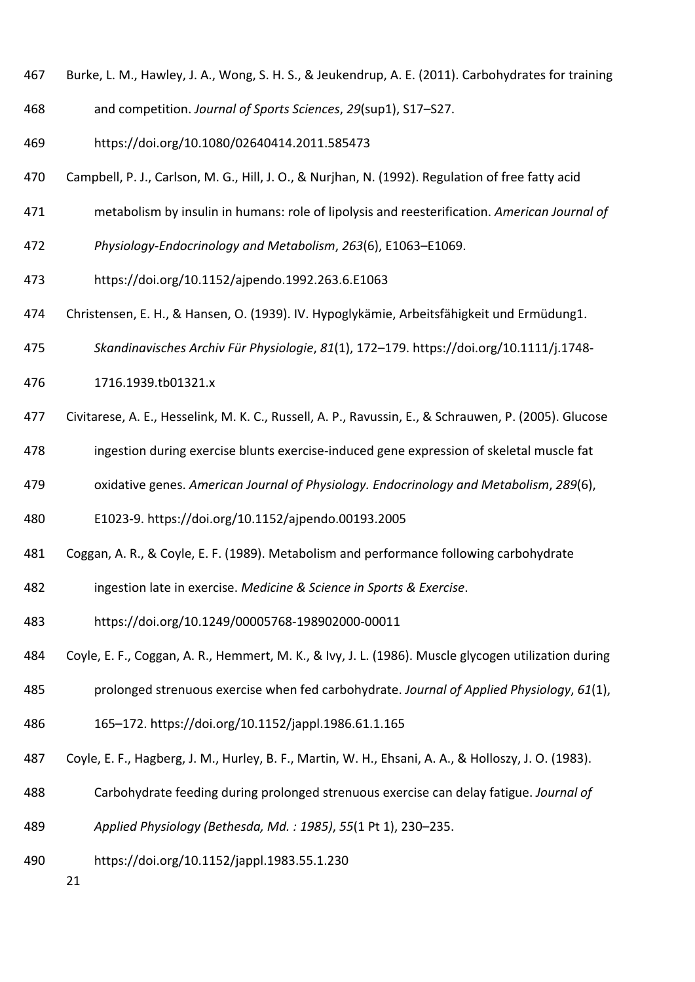- Burke, L. M., Hawley, J. A., Wong, S. H. S., & Jeukendrup, A. E. (2011). Carbohydrates for training
- and competition. *Journal of Sports Sciences*, *29*(sup1), S17–S27.
- https://doi.org/10.1080/02640414.2011.585473
- Campbell, P. J., Carlson, M. G., Hill, J. O., & Nurjhan, N. (1992). Regulation of free fatty acid
- metabolism by insulin in humans: role of lipolysis and reesterification. *American Journal of*
- *Physiology‐Endocrinology and Metabolism*, *263*(6), E1063–E1069.
- https://doi.org/10.1152/ajpendo.1992.263.6.E1063
- Christensen, E. H., & Hansen, O. (1939). IV. Hypoglykämie, Arbeitsfähigkeit und Ermüdung1.
- *Skandinavisches Archiv Für Physiologie*, *81*(1), 172–179. https://doi.org/10.1111/j.1748‐
- 1716.1939.tb01321.x
- Civitarese, A. E., Hesselink, M. K. C., Russell, A. P., Ravussin, E., & Schrauwen, P. (2005). Glucose
- ingestion during exercise blunts exercise‐induced gene expression of skeletal muscle fat
- oxidative genes. *American Journal of Physiology. Endocrinology and Metabolism*, *289*(6),
- E1023‐9. https://doi.org/10.1152/ajpendo.00193.2005
- Coggan, A. R., & Coyle, E. F. (1989). Metabolism and performance following carbohydrate
- ingestion late in exercise. *Medicine & Science in Sports & Exercise*.
- https://doi.org/10.1249/00005768‐198902000‐00011
- Coyle, E. F., Coggan, A. R., Hemmert, M. K., & Ivy, J. L. (1986). Muscle glycogen utilization during
- prolonged strenuous exercise when fed carbohydrate. *Journal of Applied Physiology*, *61*(1),
- 165–172. https://doi.org/10.1152/jappl.1986.61.1.165
- Coyle, E. F., Hagberg, J. M., Hurley, B. F., Martin, W. H., Ehsani, A. A., & Holloszy, J. O. (1983).
- Carbohydrate feeding during prolonged strenuous exercise can delay fatigue. *Journal of*
- *Applied Physiology (Bethesda, Md. : 1985)*, *55*(1 Pt 1), 230–235.
- https://doi.org/10.1152/jappl.1983.55.1.230
	-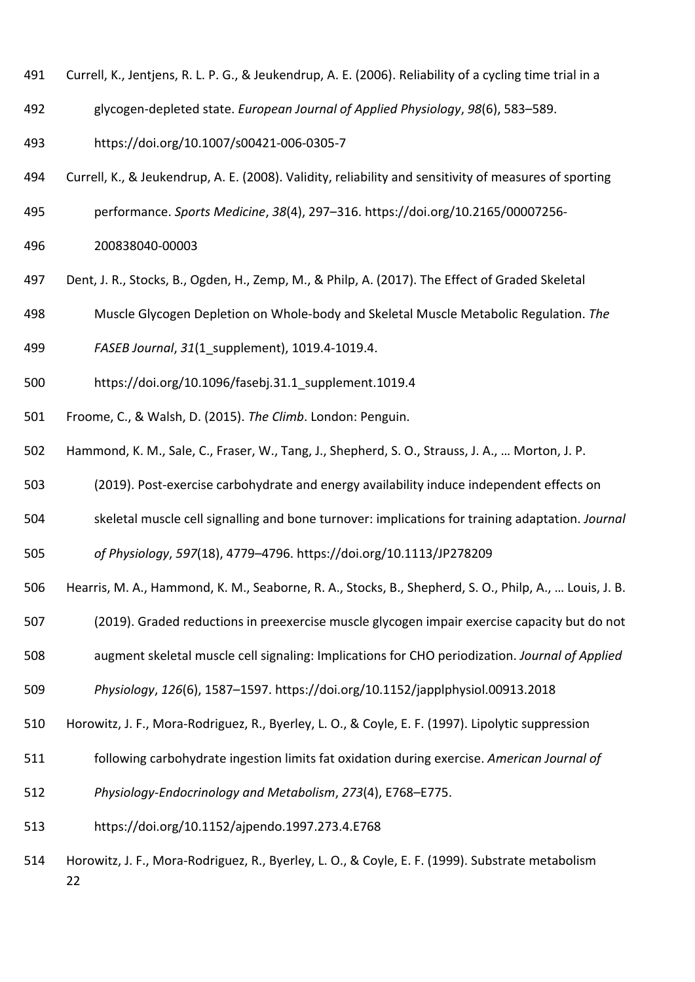- Currell, K., Jentjens, R. L. P. G., & Jeukendrup, A. E. (2006). Reliability of a cycling time trial in a
- glycogen‐depleted state. *European Journal of Applied Physiology*, *98*(6), 583–589.
- https://doi.org/10.1007/s00421‐006‐0305‐7
- Currell, K., & Jeukendrup, A. E. (2008). Validity, reliability and sensitivity of measures of sporting
- performance. *Sports Medicine*, *38*(4), 297–316. https://doi.org/10.2165/00007256‐
- 200838040‐00003
- Dent, J. R., Stocks, B., Ogden, H., Zemp, M., & Philp, A. (2017). The Effect of Graded Skeletal
- Muscle Glycogen Depletion on Whole‐body and Skeletal Muscle Metabolic Regulation. *The*
- *FASEB Journal*, *31*(1\_supplement), 1019.4‐1019.4.
- https://doi.org/10.1096/fasebj.31.1\_supplement.1019.4
- Froome, C., & Walsh, D. (2015). *The Climb*. London: Penguin.
- Hammond, K. M., Sale, C., Fraser, W., Tang, J., Shepherd, S. O., Strauss, J. A., … Morton, J. P.
- (2019). Post‐exercise carbohydrate and energy availability induce independent effects on
- skeletal muscle cell signalling and bone turnover: implications for training adaptation. *Journal*
- *of Physiology*, *597*(18), 4779–4796. https://doi.org/10.1113/JP278209
- Hearris, M. A., Hammond, K. M., Seaborne, R. A., Stocks, B., Shepherd, S. O., Philp, A., … Louis, J. B.
- (2019). Graded reductions in preexercise muscle glycogen impair exercise capacity but do not
- augment skeletal muscle cell signaling: Implications for CHO periodization. *Journal of Applied*

*Physiology*, *126*(6), 1587–1597. https://doi.org/10.1152/japplphysiol.00913.2018

- Horowitz, J. F., Mora‐Rodriguez, R., Byerley, L. O., & Coyle, E. F. (1997). Lipolytic suppression
- following carbohydrate ingestion limits fat oxidation during exercise. *American Journal of*
- *Physiology‐Endocrinology and Metabolism*, *273*(4), E768–E775.
- https://doi.org/10.1152/ajpendo.1997.273.4.E768
- Horowitz, J. F., Mora‐Rodriguez, R., Byerley, L. O., & Coyle, E. F. (1999). Substrate metabolism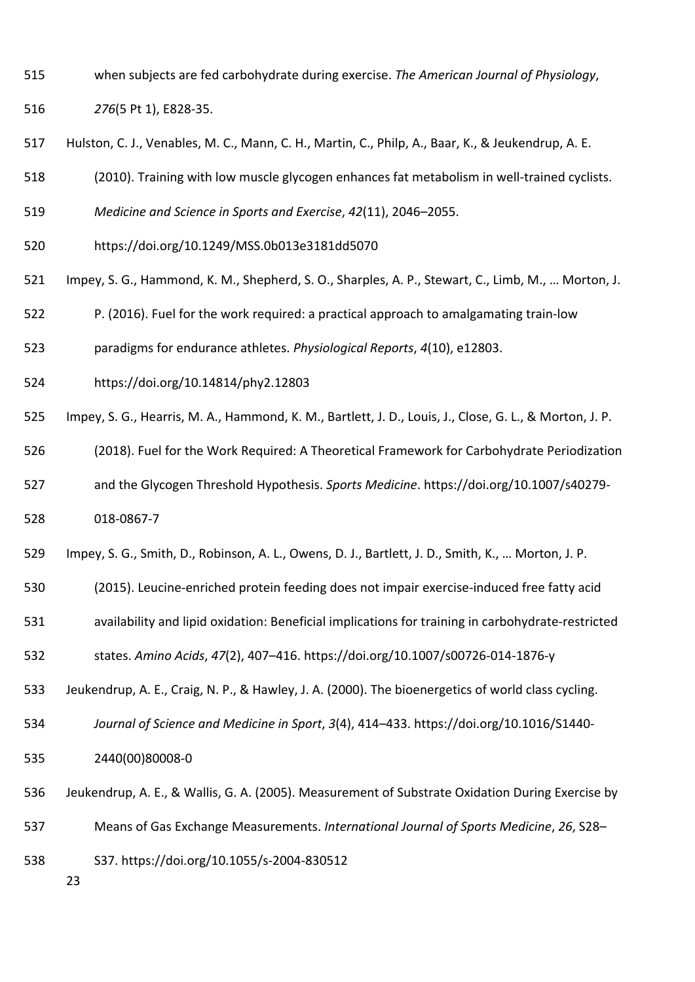- when subjects are fed carbohydrate during exercise. *The American Journal of Physiology*,
- *276*(5 Pt 1), E828‐35.
- Hulston, C. J., Venables, M. C., Mann, C. H., Martin, C., Philp, A., Baar, K., & Jeukendrup, A. E.
- (2010). Training with low muscle glycogen enhances fat metabolism in well‐trained cyclists.
- *Medicine and Science in Sports and Exercise*, *42*(11), 2046–2055.
- https://doi.org/10.1249/MSS.0b013e3181dd5070
- Impey, S. G., Hammond, K. M., Shepherd, S. O., Sharples, A. P., Stewart, C., Limb, M., … Morton, J.
- P. (2016). Fuel for the work required: a practical approach to amalgamating train‐low
- paradigms for endurance athletes. *Physiological Reports*, *4*(10), e12803.
- https://doi.org/10.14814/phy2.12803
- Impey, S. G., Hearris, M. A., Hammond, K. M., Bartlett, J. D., Louis, J., Close, G. L., & Morton, J. P.
- (2018). Fuel for the Work Required: A Theoretical Framework for Carbohydrate Periodization
- and the Glycogen Threshold Hypothesis. *Sports Medicine*. https://doi.org/10.1007/s40279‐
- 018‐0867‐7
- Impey, S. G., Smith, D., Robinson, A. L., Owens, D. J., Bartlett, J. D., Smith, K., … Morton, J. P.
- (2015). Leucine‐enriched protein feeding does not impair exercise‐induced free fatty acid
- availability and lipid oxidation: Beneficial implications for training in carbohydrate‐restricted

states. *Amino Acids*, *47*(2), 407–416. https://doi.org/10.1007/s00726‐014‐1876‐y

- Jeukendrup, A. E., Craig, N. P., & Hawley, J. A. (2000). The bioenergetics of world class cycling.
- *Journal of Science and Medicine in Sport*, *3*(4), 414–433. https://doi.org/10.1016/S1440‐
- 2440(00)80008‐0
- Jeukendrup, A. E., & Wallis, G. A. (2005). Measurement of Substrate Oxidation During Exercise by
- Means of Gas Exchange Measurements. *International Journal of Sports Medicine*, *26*, S28–
- S37. https://doi.org/10.1055/s‐2004‐830512
	-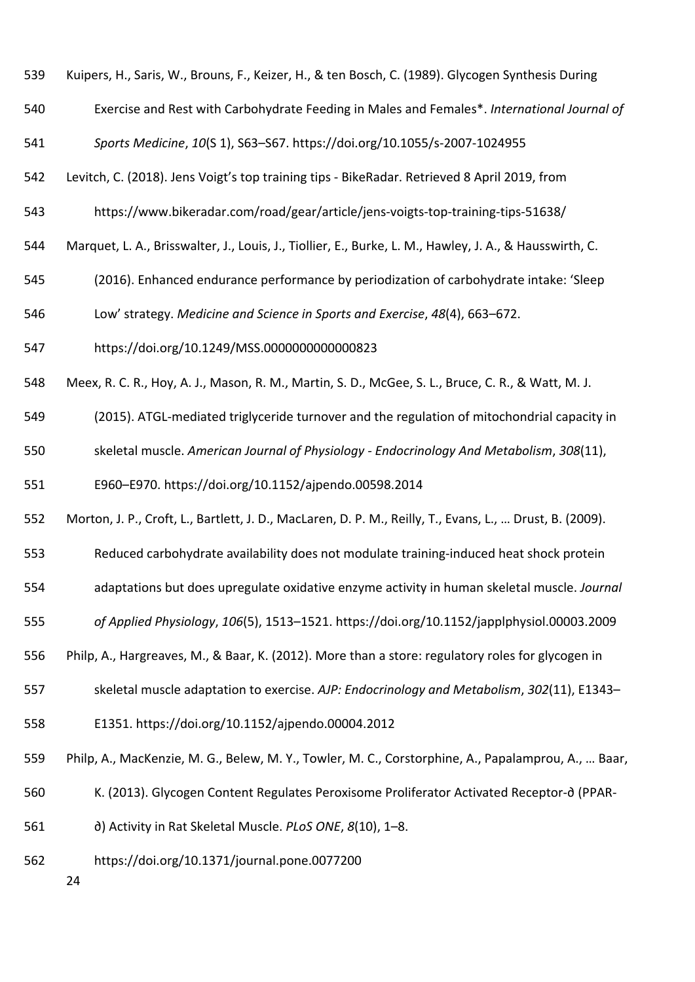- Kuipers, H., Saris, W., Brouns, F., Keizer, H., & ten Bosch, C. (1989). Glycogen Synthesis During
- Exercise and Rest with Carbohydrate Feeding in Males and Females\*. *International Journal of*
- *Sports Medicine*, *10*(S 1), S63–S67. https://doi.org/10.1055/s‐2007‐1024955
- Levitch, C. (2018). Jens Voigt's top training tips ‐ BikeRadar. Retrieved 8 April 2019, from
- https://www.bikeradar.com/road/gear/article/jens‐voigts‐top‐training‐tips‐51638/
- Marquet, L. A., Brisswalter, J., Louis, J., Tiollier, E., Burke, L. M., Hawley, J. A., & Hausswirth, C.
- (2016). Enhanced endurance performance by periodization of carbohydrate intake: 'Sleep
- Low' strategy. *Medicine and Science in Sports and Exercise*, *48*(4), 663–672.
- https://doi.org/10.1249/MSS.0000000000000823
- Meex, R. C. R., Hoy, A. J., Mason, R. M., Martin, S. D., McGee, S. L., Bruce, C. R., & Watt, M. J.
- (2015). ATGL‐mediated triglyceride turnover and the regulation of mitochondrial capacity in
- skeletal muscle. *American Journal of Physiology ‐ Endocrinology And Metabolism*, *308*(11),
- E960–E970. https://doi.org/10.1152/ajpendo.00598.2014
- Morton, J. P., Croft, L., Bartlett, J. D., MacLaren, D. P. M., Reilly, T., Evans, L., … Drust, B. (2009).
- Reduced carbohydrate availability does not modulate training‐induced heat shock protein
- adaptations but does upregulate oxidative enzyme activity in human skeletal muscle. *Journal*
- *of Applied Physiology*, *106*(5), 1513–1521. https://doi.org/10.1152/japplphysiol.00003.2009
- Philp, A., Hargreaves, M., & Baar, K. (2012). More than a store: regulatory roles for glycogen in
- skeletal muscle adaptation to exercise. *AJP: Endocrinology and Metabolism*, *302*(11), E1343–
- E1351. https://doi.org/10.1152/ajpendo.00004.2012
- Philp, A., MacKenzie, M. G., Belew, M. Y., Towler, M. C., Corstorphine, A., Papalamprou, A., … Baar,
- K. (2013). Glycogen Content Regulates Peroxisome Proliferator Activated Receptor‐∂ (PPAR‐
- ∂) Activity in Rat Skeletal Muscle. *PLoS ONE*, *8*(10), 1–8.
- https://doi.org/10.1371/journal.pone.0077200
	-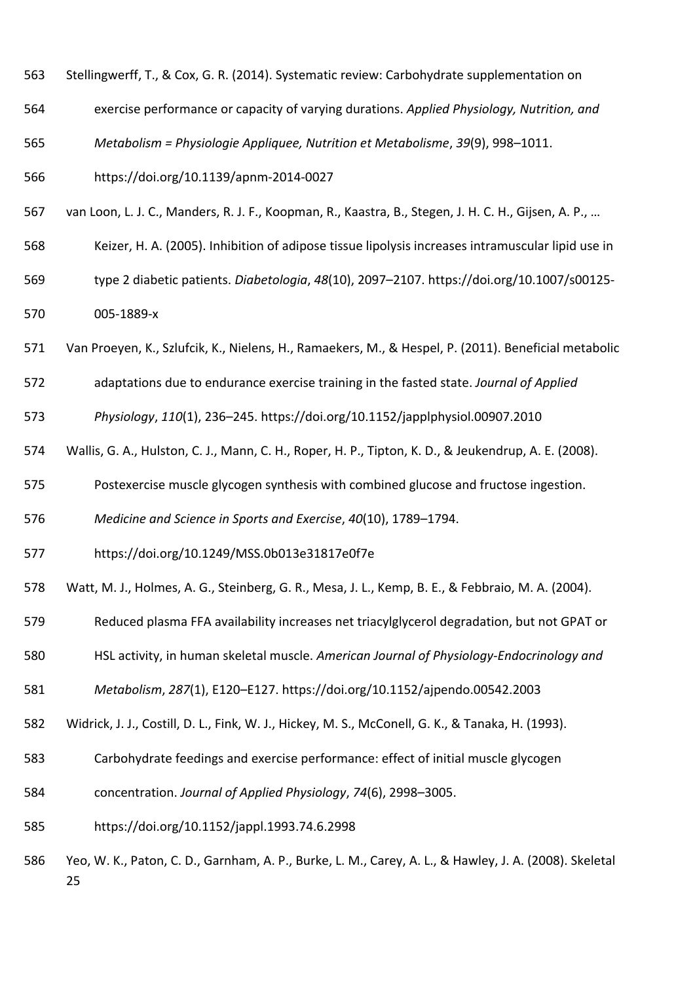- Stellingwerff, T., & Cox, G. R. (2014). Systematic review: Carbohydrate supplementation on
- exercise performance or capacity of varying durations. *Applied Physiology, Nutrition, and*
- *Metabolism = Physiologie Appliquee, Nutrition et Metabolisme*, *39*(9), 998–1011.
- https://doi.org/10.1139/apnm‐2014‐0027
- van Loon, L. J. C., Manders, R. J. F., Koopman, R., Kaastra, B., Stegen, J. H. C. H., Gijsen, A. P., …
- Keizer, H. A. (2005). Inhibition of adipose tissue lipolysis increases intramuscular lipid use in
- type 2 diabetic patients. *Diabetologia*, *48*(10), 2097–2107. https://doi.org/10.1007/s00125‐ 005‐1889‐x
- Van Proeyen, K., Szlufcik, K., Nielens, H., Ramaekers, M., & Hespel, P. (2011). Beneficial metabolic
- adaptations due to endurance exercise training in the fasted state. *Journal of Applied*
- *Physiology*, *110*(1), 236–245. https://doi.org/10.1152/japplphysiol.00907.2010
- Wallis, G. A., Hulston, C. J., Mann, C. H., Roper, H. P., Tipton, K. D., & Jeukendrup, A. E. (2008).
- Postexercise muscle glycogen synthesis with combined glucose and fructose ingestion.
- *Medicine and Science in Sports and Exercise*, *40*(10), 1789–1794.
- https://doi.org/10.1249/MSS.0b013e31817e0f7e
- Watt, M. J., Holmes, A. G., Steinberg, G. R., Mesa, J. L., Kemp, B. E., & Febbraio, M. A. (2004).
- Reduced plasma FFA availability increases net triacylglycerol degradation, but not GPAT or
- HSL activity, in human skeletal muscle. *American Journal of Physiology‐Endocrinology and*
- *Metabolism*, *287*(1), E120–E127. https://doi.org/10.1152/ajpendo.00542.2003
- Widrick, J. J., Costill, D. L., Fink, W. J., Hickey, M. S., McConell, G. K., & Tanaka, H. (1993).
- Carbohydrate feedings and exercise performance: effect of initial muscle glycogen
- concentration. *Journal of Applied Physiology*, *74*(6), 2998–3005.
- https://doi.org/10.1152/jappl.1993.74.6.2998
- Yeo, W. K., Paton, C. D., Garnham, A. P., Burke, L. M., Carey, A. L., & Hawley, J. A. (2008). Skeletal